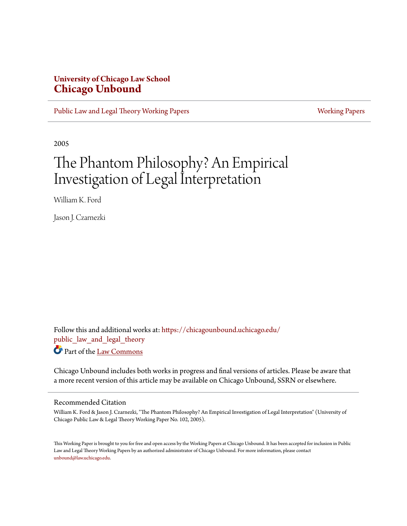# **University of Chicago Law School [Chicago Unbound](https://chicagounbound.uchicago.edu?utm_source=chicagounbound.uchicago.edu%2Fpublic_law_and_legal_theory%2F330&utm_medium=PDF&utm_campaign=PDFCoverPages)**

[Public Law and Legal Theory Working Papers](https://chicagounbound.uchicago.edu/public_law_and_legal_theory?utm_source=chicagounbound.uchicago.edu%2Fpublic_law_and_legal_theory%2F330&utm_medium=PDF&utm_campaign=PDFCoverPages) **[Working Papers](https://chicagounbound.uchicago.edu/working_papers?utm_source=chicagounbound.uchicago.edu%2Fpublic_law_and_legal_theory%2F330&utm_medium=PDF&utm_campaign=PDFCoverPages)** Working Papers

2005

# The Phantom Philosophy? An Empirical Investigation of Legal Interpretation

William K. Ford

Jason J. Czarnezki

Follow this and additional works at: [https://chicagounbound.uchicago.edu/](https://chicagounbound.uchicago.edu/public_law_and_legal_theory?utm_source=chicagounbound.uchicago.edu%2Fpublic_law_and_legal_theory%2F330&utm_medium=PDF&utm_campaign=PDFCoverPages) public law and legal theory Part of the [Law Commons](http://network.bepress.com/hgg/discipline/578?utm_source=chicagounbound.uchicago.edu%2Fpublic_law_and_legal_theory%2F330&utm_medium=PDF&utm_campaign=PDFCoverPages)

Chicago Unbound includes both works in progress and final versions of articles. Please be aware that a more recent version of this article may be available on Chicago Unbound, SSRN or elsewhere.

#### Recommended Citation

William K. Ford & Jason J. Czarnezki, "The Phantom Philosophy? An Empirical Investigation of Legal Interpretation" (University of Chicago Public Law & Legal Theory Working Paper No. 102, 2005).

This Working Paper is brought to you for free and open access by the Working Papers at Chicago Unbound. It has been accepted for inclusion in Public Law and Legal Theory Working Papers by an authorized administrator of Chicago Unbound. For more information, please contact [unbound@law.uchicago.edu](mailto:unbound@law.uchicago.edu).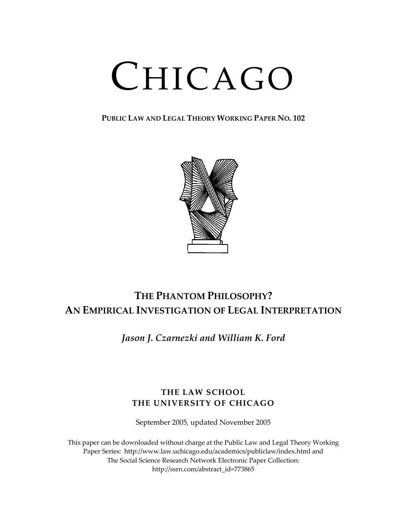# CHICAGO

**PUBLIC LAW AND LEGAL THEORY WORKING PAPER NO. 102**



# **THE PHANTOM PHILOSOPHY? AN EMPIRICAL INVESTIGATION OF LEGAL INTERPRETATION**

*Jason J. Czarnezki and William K. Ford*

# **THE LAW SCHOOL THE UNIVERSITY OF CHICAGO**

September 2005, updated November 2005

This paper can be downloaded without charge at the Public Law and Legal Theory Working Paper Series: http://www.law.uchicago.edu/academics/publiclaw/index.html and The Social Science Research Network Electronic Paper Collection: http://ssrn.com/abstract\_id=773865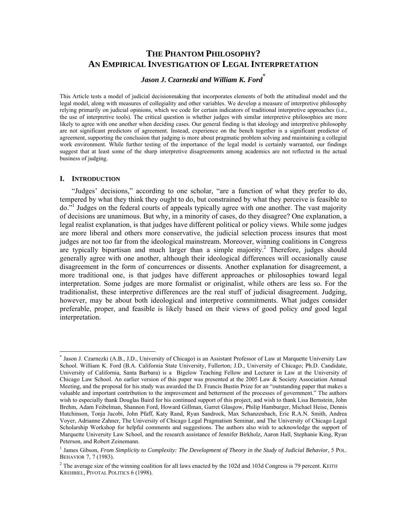# **THE PHANTOM PHILOSOPHY? AN EMPIRICAL INVESTIGATION OF LEGAL INTERPRETATION**

# *Jason J. Czarnezki and William K. Ford*\*

This Article tests a model of judicial decisionmaking that incorporates elements of both the attitudinal model and the legal model, along with measures of collegiality and other variables. We develop a measure of interpretive philosophy relying primarily on judicial opinions, which we code for certain indicators of traditional interpretive approaches (i.e., the use of interpretive tools). The critical question is whether judges with similar interpretive philosophies are more likely to agree with one another when deciding cases. Our general finding is that ideology and interpretive philosophy are not significant predictors of agreement. Instead, experience on the bench together is a significant predictor of agreement, supporting the conclusion that judging is more about pragmatic problem solving and maintaining a collegial work environment. While further testing of the importance of the legal model is certainly warranted, our findings suggest that at least some of the sharp interpretive disagreements among academics are not reflected in the actual business of judging.

#### **I. INTRODUCTION**

 $\overline{a}$ 

"Judges' decisions," according to one scholar, "are a function of what they prefer to do, tempered by what they think they ought to do, but constrained by what they perceive is feasible to do.<sup>31</sup> Judges on the federal courts of appeals typically agree with one another. The vast majority of decisions are unanimous. But why, in a minority of cases, do they disagree? One explanation, a legal realist explanation, is that judges have different political or policy views. While some judges are more liberal and others more conservative, the judicial selection process insures that most judges are not too far from the ideological mainstream. Moreover, winning coalitions in Congress are typically bipartisan and much larger than a simple majority.<sup>2</sup> Therefore, judges should generally agree with one another, although their ideological differences will occasionally cause disagreement in the form of concurrences or dissents. Another explanation for disagreement, a more traditional one, is that judges have different approaches or philosophies toward legal interpretation. Some judges are more formalist or originalist, while others are less so. For the traditionalist, these interpretive differences are the real stuff of judicial disagreement. Judging, however, may be about both ideological and interpretive commitments. What judges consider preferable, proper, and feasible is likely based on their views of good policy *and* good legal interpretation.

<sup>\*</sup> Jason J. Czarnezki (A.B., J.D., University of Chicago) is an Assistant Professor of Law at Marquette University Law School. William K. Ford (B.A. California State University, Fullerton; J.D., University of Chicago; Ph.D. Candidate, University of California, Santa Barbara) is a Bigelow Teaching Fellow and Lecturer in Law at the University of Chicago Law School. An earlier version of this paper was presented at the 2005 Law & Society Association Annual Meeting, and the proposal for his study was awarded the D. Francis Bustin Prize for an "outstanding paper that makes a valuable and important contribution to the improvement and betterment of the processes of government." The authors wish to especially thank Douglas Baird for his continued support of this project, and wish to thank Lisa Bernstein, John Brehm, Adam Feibelman, Shannon Ford, Howard Gillman, Garret Glasgow, Philip Hamburger, Michael Heise, Dennis Hutchinson, Tonja Jacobi, John Pfaff, Katy Rand, Ryan Sandrock, Max Schanzenbach, Eric R.A.N. Smith, Andrea Voyer, Adrianne Zahner, The University of Chicago Legal Pragmatism Seminar, and The University of Chicago Legal Scholarship Workshop for helpful comments and suggestions. The authors also wish to acknowledge the support of Marquette University Law School, and the research assistance of Jennifer Birkholz, Aaron Hall, Stephanie King, Ryan Peterson, and Robert Zeinemann.

<sup>&</sup>lt;sup>1</sup> James Gibson, *From Simplicity to Complexity: The Development of Theory in the Study of Judicial Behavior*, 5 POL. BEHAVIOR 7, 7 (1983).

 $2^2$  The average size of the winning coalition for all laws enacted by the 102d and 103d Congress is 79 percent. KEITH KREHBIEL, PIVOTAL POLITICS 6 (1998).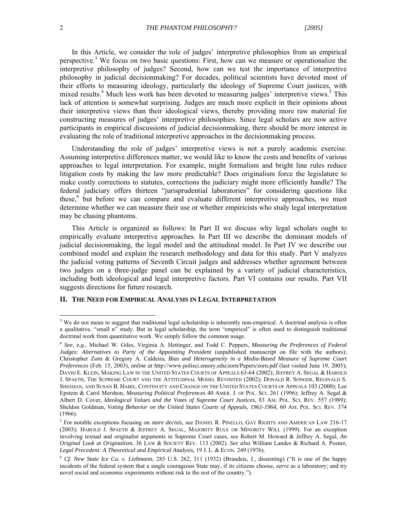In this Article, we consider the role of judges' interpretive philosophies from an empirical perspective.<sup>3</sup> We focus on two basic questions: First, how can we measure or operationalize the interpretive philosophy of judges? Second, how can we test the importance of interpretive philosophy in judicial decisionmaking? For decades, political scientists have devoted most of their efforts to measuring ideology, particularly the ideology of Supreme Court justices, with mixed results.<sup>4</sup> Much less work has been devoted to measuring judges' interpretive views.<sup>5</sup> This lack of attention is somewhat surprising. Judges are much more explicit in their opinions about their interpretive views than their ideological views, thereby providing more raw material for constructing measures of judges' interpretive philosophies. Since legal scholars are now active participants in empirical discussions of judicial decisionmaking, there should be more interest in evaluating the role of traditional interpretive approaches in the decisionmaking process.

Understanding the role of judges' interpretive views is not a purely academic exercise. Assuming interpretive differences matter, we would like to know the costs and benefits of various approaches to legal interpretation. For example, might formalism and bright line rules reduce litigation costs by making the law more predictable? Does originalism force the legislature to make costly corrections to statutes, corrections the judiciary might more efficiently handle? The federal judiciary offers thirteen "jurisprudential laboratories" for considering questions like these,<sup>6</sup> but before we can compare and evaluate different interpretive approaches, we must determine whether we can measure their use or whether empiricists who study legal interpretation may be chasing phantoms.

This Article is organized as follows: In Part II we discuss why legal scholars ought to empirically evaluate interpretive approaches. In Part III we describe the dominant models of judicial decisionmaking, the legal model and the attitudinal model. In Part IV we describe our combined model and explain the research methodology and data for this study. Part V analyzes the judicial voting patterns of Seventh Circuit judges and addresses whether agreement between two judges on a three-judge panel can be explained by a variety of judicial characteristics, including both ideological and legal interpretive factors. Part VI contains our results. Part VII suggests directions for future research.

#### **II. THE NEED FOR EMPIRICAL ANALYSIS IN LEGAL INTERPRETATION**

<sup>&</sup>lt;sup>3</sup> We do not mean to suggest that traditional legal scholarship is inherently non-empirical. A doctrinal analysis is often a qualitative, "small n" study. But in legal scholarship, the term "empirical" is often used to distinguish traditional doctrinal work from quantitative work. We simply follow the common usage.

<sup>4</sup> *See*, *e.g*., Michael W. Giles, Virginia A. Hettinger, and Todd C. Peppers, *Measuring the Preferences of Federal Judges: Alternatives to Party of the Appointing President* (unpublished manuscript on file with the authors); Christopher Zorn & Gregory A. Caldeira, *Bias and Heterogeneity in a Media-Based Measure of Supreme Court Preferences* (Feb. 15, 2003), *online at* http://www.polisci.emory.edu/zorn/Papers/zorn.pdf (last visited June 19, 2005); DAVID E. KLEIN, MAKING LAW IN THE UNITED STATES COURTS OF APPEALS 63-64 (2002); JEFFREY A. SEGAL & HAROLD J. SPAETH, THE SUPREME COURT AND THE ATTITUDINAL MODEL REVISITED (2002); DONALD R. SONGER, REGINALD S. SHEEHAN, AND SUSAN B. HAIRE, CONTINUITY AND CHANGE ON THE UNITED STATES COURTS OF APPEALS 103 (2000); Lee Epstein & Carol Mershon, *Measuring Political Preferences* 40 AMER. J. OF POL. SCI. 261 (1996); Jeffrey A. Segal & Albert D. Cover, *Ideological Values and the Votes of Supreme Court Justices*, 83 AM. POL. SCI. REV. 557 (1989); Sheldon Goldman, *Voting Behavior on the United States Courts of Appeals, 1961-1964*, 60 AM. POL. SCI. REV. 374 (1966).

<sup>&</sup>lt;sup>5</sup> For notable exceptions focusing on *stare decisis*, see DANIEL R. PINELLO, GAY RIGHTS AND AMERICAN LAW 216-17 (2003); HAROLD J. SPAETH & JEFFREY A. SEGAL, MAJORITY RULE OR MINORITY WILL (1999). For an exception involving textual and originalist arguments in Supreme Court cases, see Robert M. Howard & Jeffrey A. Segal, *An Original Look at Originalism*, 36 LAW & SOCIETY REV. 113 (2002). *See also* William Landes & Richard A. Posner, Legal Precedent: A Theoretical and Empirical Analysis, 19 J. L. & ECON. 249 (1976).

<sup>6</sup> *Cf. New State Ice Co. v. Liebmann*, 285 U.S. 262, 311 (1932) (Brandeis, J., dissenting) ("It is one of the happy incidents of the federal system that a single courageous State may, if its citizens choose, serve as a laboratory; and try novel social and economic experiments without risk to the rest of the country.").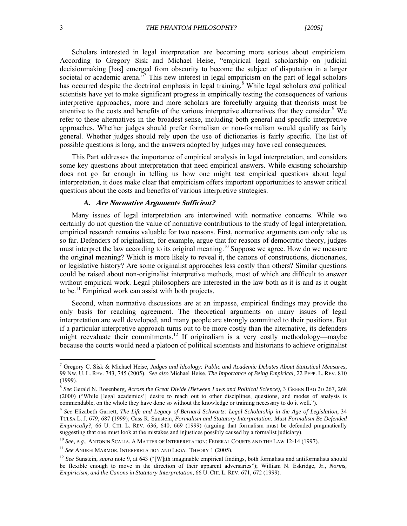Scholars interested in legal interpretation are becoming more serious about empiricism. According to Gregory Sisk and Michael Heise, "empirical legal scholarship on judicial decisionmaking [has] emerged from obscurity to become the subject of disputation in a larger societal or academic arena."<sup>7</sup> This new interest in legal empiricism on the part of legal scholars has occurred despite the doctrinal emphasis in legal training.<sup>8</sup> While legal scholars *and* political scientists have yet to make significant progress in empirically testing the consequences of various interpretive approaches, more and more scholars are forcefully arguing that theorists must be attentive to the costs and benefits of the various interpretive alternatives that they consider.<sup>9</sup> We refer to these alternatives in the broadest sense, including both general and specific interpretive approaches. Whether judges should prefer formalism or non-formalism would qualify as fairly general. Whether judges should rely upon the use of dictionaries is fairly specific. The list of possible questions is long, and the answers adopted by judges may have real consequences.

This Part addresses the importance of empirical analysis in legal interpretation, and considers some key questions about interpretation that need empirical answers. While existing scholarship does not go far enough in telling us how one might test empirical questions about legal interpretation, it does make clear that empiricism offers important opportunities to answer critical questions about the costs and benefits of various interpretive strategies.

#### *A.* **Are Normative Arguments Sufficient?**

Many issues of legal interpretation are intertwined with normative concerns. While we certainly do not question the value of normative contributions to the study of legal interpretation, empirical research remains valuable for two reasons. First, normative arguments can only take us so far. Defenders of originalism, for example, argue that for reasons of democratic theory, judges must interpret the law according to its original meaning.<sup>10</sup> Suppose we agree. How do we measure the original meaning? Which is more likely to reveal it, the canons of constructions, dictionaries, or legislative history? Are some originalist approaches less costly than others? Similar questions could be raised about non-originalist interpretive methods, most of which are difficult to answer without empirical work. Legal philosophers are interested in the law both as it is and as it ought to be.<sup>11</sup> Empirical work can assist with both projects.

Second, when normative discussions are at an impasse, empirical findings may provide the only basis for reaching agreement. The theoretical arguments on many issues of legal interpretation are well developed, and many people are strongly committed to their positions. But if a particular interpretive approach turns out to be more costly than the alternative, its defenders might reevaluate their commitments.<sup>12</sup> If originalism is a very costly methodology—maybe because the courts would need a platoon of political scientists and historians to achieve originalist

<sup>7</sup> Gregory C. Sisk & Michael Heise, *Judges and Ideology: Public and Academic Debates About Statistical Measures*, 99 NW. U. L. REV. 743, 745 (2005). *See also* Michael Heise, *The Importance of Being Empirical*, 22 PEPP. L. REV. 810 (1999).

<sup>8</sup> *See* Gerald N. Rosenberg, *Across the Great Divide (Between Laws and Political Science)*, 3 GREEN BAG 2D 267, 268 (2000) ("While [legal academics'] desire to reach out to other disciplines, questions, and modes of analysis is commendable, on the whole they have done so without the knowledge or training necessary to do it well.").

<sup>9</sup> *See* Elizabeth Garrett, *The Life and Legacy of Bernard Schwartz: Legal Scholarship in the Age of Legislation*, 34 TULSA L. J. 679, 687 (1999); Cass R. Sunstein, *Formalism and Statutory Interpretation: Must Formalism Be Defended Empirically?*, 66 U. CHI. L. REV. 636, 640, 669 (1999) (arguing that formalism must be defended pragmatically suggesting that one must look at the mistakes and injustices possibly caused by a formalist judiciary).

<sup>10</sup> *See, e.g.,* ANTONIN SCALIA, A MATTER OF INTERPRETATION: FEDERAL COURTS AND THE LAW 12-14 (1997).

<sup>11</sup> *See* ANDREI MARMOR, INTERPRETATION AND LEGAL THEORY 1 (2005).

<sup>&</sup>lt;sup>12</sup> *See* Sunstein, *supra* note 9, at 643 ("[W]ith imaginable empirical findings, both formalists and antiformalists should be flexible enough to move in the direction of their apparent adversaries"); William N. Eskridge, Jr., *Norms, Empiricism, and the Canons in Statutory Interpretation, 66 U. CHI. L. REV. 671, 672 (1999).*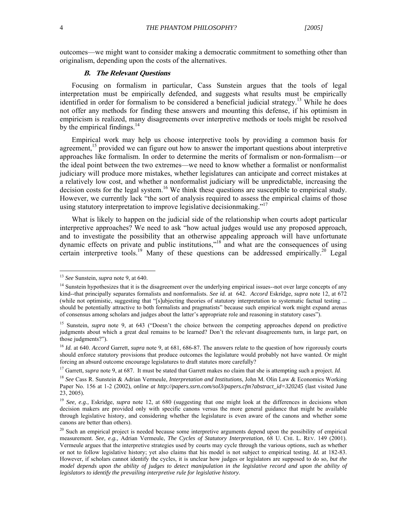outcomes—we might want to consider making a democratic commitment to something other than originalism, depending upon the costs of the alternatives.

#### **B. The Relevant Questions**

Focusing on formalism in particular, Cass Sunstein argues that the tools of legal interpretation must be empirically defended, and suggests what results must be empirically identified in order for formalism to be considered a beneficial judicial strategy.<sup>13</sup> While he does not offer any methods for finding these answers and mounting this defense, if his optimism in empiricism is realized, many disagreements over interpretive methods or tools might be resolved by the empirical findings. $14$ 

Empirical work may help us choose interpretive tools by providing a common basis for agreement, $15$  provided we can figure out how to answer the important questions about interpretive approaches like formalism. In order to determine the merits of formalism or non-formalism—or the ideal point between the two extremes—we need to know whether a formalist or nonformalist judiciary will produce more mistakes, whether legislatures can anticipate and correct mistakes at a relatively low cost, and whether a nonformalist judiciary will be unpredictable, increasing the decision costs for the legal system.<sup>16</sup> We think these questions are susceptible to empirical study. However, we currently lack "the sort of analysis required to assess the empirical claims of those using statutory interpretation to improve legislative decisionmaking."<sup>17</sup>

What is likely to happen on the judicial side of the relationship when courts adopt particular interpretive approaches? We need to ask "how actual judges would use any proposed approach, and to investigate the possibility that an otherwise appealing approach will have unfortunate dynamic effects on private and public institutions,"<sup>18</sup> and what are the consequences of using certain interpretive tools.<sup>19</sup> Many of these questions can be addressed empirically.<sup>20</sup> Legal

<sup>13</sup> *See* Sunstein, *supra* note 9, at 640.

 $<sup>14</sup>$  Sunstein hypothesizes that it is the disagreement over the underlying empirical issues--not over large concepts of any</sup> kind--that principally separates formalists and nonformalists. *See id.* at 642. *Accord* Eskridge, *supra* note 12, at 672 (while not optimistic, suggesting that "[s]ubjecting theories of statutory interpretation to systematic factual testing ... should be potentially attractive to both formalists and pragmatists" because such empirical work might expand arenas of consensus among scholars and judges about the latter's appropriate role and reasoning in statutory cases").

<sup>&</sup>lt;sup>15</sup> Sunstein, *supra* note 9, at 643 ("Doesn't the choice between the competing approaches depend on predictive judgments about which a great deal remains to be learned? Don't the relevant disagreements turn, in large part, on those judgments?").

<sup>16</sup> *Id.* at 640. *Accord* Garrett, *supra* note 9, at 681, 686-87. The answers relate to the question of how rigorously courts should enforce statutory provisions that produce outcomes the legislature would probably not have wanted. Or might forcing an absurd outcome encourage legislatures to draft statutes more carefully?

<sup>17</sup> Garrett, *supra* note 9, at 687. It must be stated that Garrett makes no claim that she is attempting such a project. *Id.*

<sup>18</sup> *See* Cass R. Sunstein & Adrian Vermeule, *Interpretation and Institutions*, John M. Olin Law & Economics Working Paper No. 156 at 1-2 (2002), *online at http://papers.ssrn.com/sol3/papers.cfm?abstract\_id=320245* (last visited June  $23, 2005$ ).

<sup>&</sup>lt;sup>19</sup> *See, e.g., Eskridge, supra note* 12, at 680 (suggesting that one might look at the differences in decisions when decision makers are provided only with specific canons versus the more general guidance that might be available through legislative history, and considering whether the legislature is even aware of the canons and whether some canons are better than others).

<sup>&</sup>lt;sup>20</sup> Such an empirical project is needed because some interpretive arguments depend upon the possibility of empirical measurement. *See, e.g.,* Adrian Vermeule, *The Cycles of Statutory Interpretation*, 68 U. CHI. L. REV. 149 (2001). Vermeule argues that the interpretive strategies used by courts may cycle through the various options, such as whether or not to follow legislative history; yet also claims that his model is not subject to empirical testing. *Id.* at 182-83. However, if scholars cannot identify the cycles, it is unclear how judges or legislators are supposed to do so, *but the model depends upon the ability of judges to detect manipulation in the legislative record and upon the ability of legislators to identify the prevailing interpretive rule for legislative history*.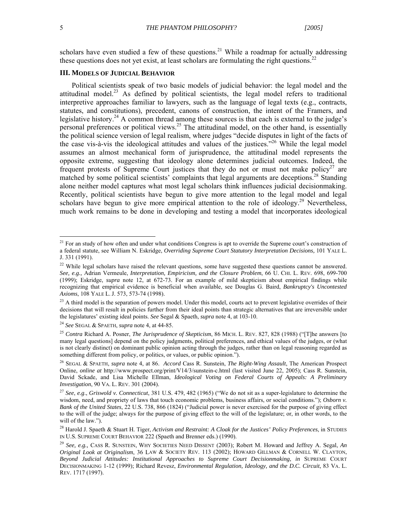$\overline{a}$ 

scholars have even studied a few of these questions.<sup>21</sup> While a roadmap for actually addressing these questions does not yet exist, at least scholars are formulating the right questions.<sup>22</sup>

#### **III. MODELS OF JUDICIAL BEHAVIOR**

Political scientists speak of two basic models of judicial behavior: the legal model and the attitudinal model.<sup>23</sup> As defined by political scientists, the legal model refers to traditional interpretive approaches familiar to lawyers, such as the language of legal texts (e.g., contracts, statutes, and constitutions), precedent, canons of construction, the intent of the Framers, and legislative history.<sup>24</sup> A common thread among these sources is that each is external to the judge's personal preferences or political views.<sup>25</sup> The attitudinal model, on the other hand, is essentially the political science version of legal realism, where judges "decide disputes in light of the facts of the case vis-à-vis the ideological attitudes and values of the justices.<sup>726</sup> While the legal model assumes an almost mechanical form of jurisprudence, the attitudinal model represents the opposite extreme, suggesting that ideology alone determines judicial outcomes. Indeed, the frequent protests of Supreme Court justices that they do not or must not make policy<sup>27</sup> are matched by some political scientists' complaints that legal arguments are deceptions.<sup>28</sup> Standing alone neither model captures what most legal scholars think influences judicial decisionmaking. Recently, political scientists have begun to give more attention to the legal model and legal scholars have begun to give more empirical attention to the role of ideology.<sup>29</sup> Nevertheless, much work remains to be done in developing and testing a model that incorporates ideological

<sup>24</sup> *See* SEGAL & SPAETH, *supra* note 4, at 44-85.

<sup>&</sup>lt;sup>21</sup> For an study of how often and under what conditions Congress is apt to override the Supreme court's construction of a federal statute, see William N. Eskridge, *Overriding Supreme Court Statutory Interpretation Decisions,* 101 YALE L. J. 331 (1991).

 $22$  While legal scholars have raised the relevant questions, some have suggested these questions cannot be answered. *See, e.g.,* Adrian Vermeule, *Interpretation, Empiricism, and the Closure Problem*, 66 U. CHI. L. REV. 698, 699-700 (1999); Eskridge, *supra* note 12, at 672-73. For an example of mild skepticism about empirical findings while recognizing that empirical evidence is beneficial when available, see Douglas G. Baird, *Bankruptcy's Uncontested Axioms*, 108 YALE L. J. 573, 573-74 (1998).

<sup>&</sup>lt;sup>23</sup> A third model is the separation of powers model. Under this model, courts act to prevent legislative overrides of their decisions that will result in policies further from their ideal points than strategic alternatives that are irreversible under the legislatures' existing ideal points. *See* Segal & Spaeth, *supra* note 4, at 103-10.

<sup>25</sup> *Contra* Richard A. Posner, *The Jurisprudence of Skepticism*, 86 MICH. L. REV. 827, 828 (1988) ("[T]he answers [to many legal questions] depend on the policy judgments, political preferences, and ethical values of the judges, or (what is not clearly distinct) on dominant public opinion acting through the judges, rather than on legal reasoning regarded as something different from policy, or politics, or values, or public opinion.").

<sup>26</sup> SEGAL & SPAETH, *supra* note 4, at 86. *Accord* Cass R. Sunstein, *The Right-Wing Assault*, The American Prospect Online, *online at* http://www.prospect.org/print/V14/3/sunstein-c.html (last visited June 22, 2005); Cass R. Sunstein, David Sckade, and Lisa Michelle Ellman, *Ideological Voting on Federal Courts of Appeals: A Preliminary Investigation*, 90 VA. L. REV. 301 (2004).

<sup>27</sup> *See*, *e.g*., *Griswold v. Connecticut*, 381 U.S. 479, 482 (1965) ("We do not sit as a super-legislature to determine the wisdom, need, and propriety of laws that touch economic problems, business affairs, or social conditions."); Osborn v. *Bank of the United States*, 22 U.S. 738, 866 (1824) ("Judicial power is never exercised for the purpose of giving effect to the will of the judge; always for the purpose of giving effect to the will of the legislature; or, in other words, to the will of the law.").

<sup>28</sup> Harold J. Spaeth & Stuart H. Tiger, *Activism and Restraint: A Cloak for the Justices' Policy Preferences*, in STUDIES IN U.S. SUPREME COURT BEHAVIOR 222 (Spaeth and Brenner eds.) (1990).

<sup>29</sup> *See, e.g.,* CASS R. SUNSTEIN, WHY SOCIETIES NEED DISSENT (2003); Robert M. Howard and Jeffrey A. Segal, *An Original Look at Originalism*, 36 LAW & SOCIETY REV. 113 (2002); HOWARD GILLMAN & CORNELL W. CLAYTON, *Beyond Judicial Attitudes: Institutional Approaches to Supreme Court Decisionmaking*, *in* SUPREME COURT DECISIONMAKING 1-12 (1999); Richard Revesz, *Environmental Regulation, Ideology, and the D.C. Circuit*, 83 VA. L. REV. 1717 (1997).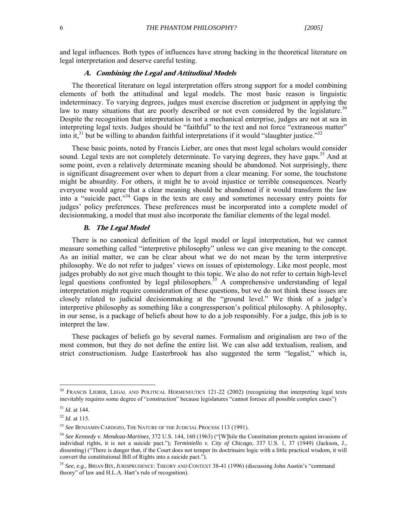and legal influences. Both types of influences have strong backing in the theoretical literature on legal interpretation and deserve careful testing.

#### **A. Combining the Legal and Attitudinal Models**

The theoretical literature on legal interpretation offers strong support for a model combining elements of both the attitudinal and legal models. The most basic reason is linguistic indeterminacy. To varying degrees, judges must exercise discretion or judgment in applying the law to many situations that are poorly described or not even considered by the legislature.<sup>30</sup> Despite the recognition that interpretation is not a mechanical enterprise, judges are not at sea in interpreting legal texts. Judges should be "faithful" to the text and not force "extraneous matter" into  $\hat{t}$ ,<sup>31</sup> but be willing to abandon faithful interpretations if it would "slaughter justice."<sup>32</sup>

These basic points, noted by Francis Lieber, are ones that most legal scholars would consider sound. Legal texts are not completely determinate. To varying degrees, they have gaps.<sup>33</sup> And at some point, even a relatively determinate meaning should be abandoned. Not surprisingly, there is significant disagreement over when to depart from a clear meaning. For some, the touchstone might be absurdity. For others, it might be to avoid injustice or terrible consequences. Nearly everyone would agree that a clear meaning should be abandoned if it would transform the law into a "suicide pact."34 Gaps in the texts are easy and sometimes necessary entry points for judges' policy preferences. These preferences must be incorporated into a complete model of decisionmaking, a model that must also incorporate the familiar elements of the legal model.

#### *B.* **The Legal Model**

There is no canonical definition of the legal model or legal interpretation, but we cannot measure something called "interpretive philosophy" unless we can give meaning to the concept. As an initial matter, we can be clear about what we do not mean by the term interpretive philosophy. We do not refer to judges' views on issues of epistemology. Like most people, most judges probably do not give much thought to this topic. We also do not refer to certain high-level legal questions confronted by legal philosophers.<sup>35</sup> A comprehensive understanding of legal interpretation might require consideration of these questions, but we do not think these issues are closely related to judicial decisionmaking at the "ground level." We think of a judge's interpretive philosophy as something like a congressperson's political philosophy. A philosophy, in our sense, is a package of beliefs about how to do a job responsibly. For a judge, this job is to interpret the law.

These packages of beliefs go by several names. Formalism and originalism are two of the most common, but they do not define the entire list. We can also add textualism, realism, and strict constructionism. Judge Easterbrook has also suggested the term "legalist," which is,

<sup>&</sup>lt;sup>30</sup> FRANCIS LIEBER, LEGAL AND POLITICAL HERMENEUTICS 121-22 (2002) (recognizing that interpreting legal texts inevitably requires some degree of "construction" because legislatures "cannot foresee all possible complex cases")

<sup>31</sup> *Id*. at 144.

<sup>32</sup> *Id*. at 115.

<sup>33</sup> *See* BENJAMIN CARDOZO, THE NATURE OF THE JUDICIAL PROCESS 113 (1991).

<sup>34</sup> *See Kennedy v. Mendoza-Martinez,* 372 U.S. 144, 160 (1963) ("[W]hile the Constitution protects against invasions of individual rights, it is not a suicide pact."); *Terminiello v. City of Chicago*, 337 U.S. 1, 37 (1949) (Jackson, J., dissenting) ("There is danger that, if the Court does not temper its doctrinaire logic with a little practical wisdom, it will convert the constitutional Bill of Rights into a suicide pact.").

<sup>35</sup> *See, e.g.,* BRIAN BIX, JURISPRUDENCE: THEORY AND CONTEXT 38-41 (1996) (discussing John Austin's "command theory" of law and H.L.A. Hart's rule of recognition).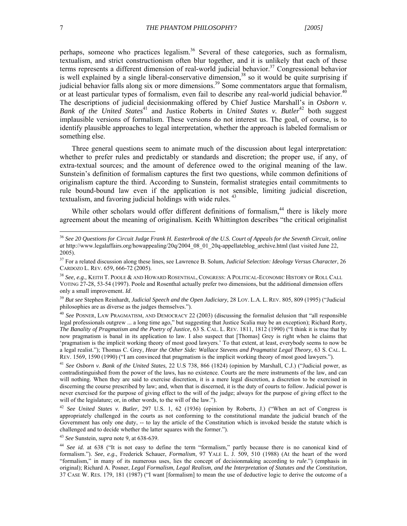perhaps, someone who practices legalism.<sup>36</sup> Several of these categories, such as formalism, textualism, and strict constructionism often blur together, and it is unlikely that each of these terms represents a different dimension of real-world judicial behavior.<sup>37</sup> Congressional behavior is well explained by a single liberal-conservative dimension,<sup>38</sup> so it would be quite surprising if judicial behavior falls along six or more dimensions.<sup>39</sup> Some commentators argue that formalism, or at least particular types of formalism, even fail to describe any real-world judicial behavior.<sup>40</sup> The descriptions of judicial decisionmaking offered by Chief Justice Marshall's in *Osborn v. Bank of the United States*<sup>41</sup> and Justice Roberts in *United States v. Butler*<sup>42</sup> both suggest implausible versions of formalism. These versions do not interest us. The goal, of course, is to identify plausible approaches to legal interpretation, whether the approach is labeled formalism or something else.

Three general questions seem to animate much of the discussion about legal interpretation: whether to prefer rules and predictably or standards and discretion; the proper use, if any, of extra-textual sources; and the amount of deference owed to the original meaning of the law. Sunstein's definition of formalism captures the first two questions, while common definitions of originalism capture the third. According to Sunstein, formalist strategies entail commitments to rule bound-bound law even if the application is not sensible, limiting judicial discretion, textualism, and favoring judicial holdings with wide rules.  $43$ 

While other scholars would offer different definitions of formalism,<sup>44</sup> there is likely more agreement about the meaning of originalism. Keith Whittington describes "the critical originalist

<sup>43</sup> *See* Sunstein, *supra* note 9, at 638-639.

<sup>36</sup> *See 20 Questions for Circuit Judge Frank H. Easterbrook of the U.S. Court of Appeals for the Seventh Circuit*, *online at* http://www.legalaffairs.org/howappealing/20q/2004\_08\_01\_20q-appellateblog\_archive.html (last visited June 22, 2005).

<sup>37</sup> For a related discussion along these lines, see Lawrence B. Solum, *Judicial Selection: Ideology Versus Character*, 26 CARDOZO L. REV. 659, 666-72 (2005).

<sup>38</sup> *See, e.g.,* KEITH T. POOLE & AND HOWARD ROSENTHAL, CONGRESS: A POLITICAL-ECONOMIC HISTORY OF ROLL CALL VOTING 27-28, 53-54 (1997). Poole and Rosenthal actually prefer two dimensions, but the additional dimension offers only a small improvement. *Id*.

<sup>39</sup> *But see* Stephen Reinhardt, *Judicial Speech and the Open Judiciary*, 28 LOY. L.A. L. REV. 805, 809 (1995) ("Judicial philosophies are as diverse as the judges themselves.").

<sup>40</sup> *See* POSNER, LAW PRAGMATISM, AND DEMOCRACY 22 (2003) (discussing the formalist delusion that "all responsible legal professionals outgrew ... a long time ago," but suggesting that Justice Scalia may be an exception); Richard Rorty, *The Banality of Pragmatism and the Poetry of Justice*, 63 S. CAL. L. REV. 1811, 1812 (1990) ("I think it is true that by now pragmatism is banal in its application to law. I also suspect that [Thomas] Grey is right when he claims that 'pragmatism is the implicit working theory of most good lawyers.' To that extent, at least, everybody seems to now be a legal realist."); Thomas C. Grey, *Hear the Other Side: Wallace Stevens and Pragmatist Legal Theory*, 63 S. CAL. L. REV. 1569, 1590 (1990) ("I am convinced that pragmatism is the implicit working theory of most good lawyers.").

<sup>41</sup> *See Osborn v. Bank of the United States*, 22 U.S 738, 866 (1824) (opinion by Marshall, C.J.) ("Judicial power, as contradistinguished from the power of the laws, has no existence. Courts are the mere instruments of the law, and can will nothing. When they are said to exercise discretion, it is a mere legal discretion, a discretion to be exercised in discerning the course prescribed by law; and, when that is discerned, it is the duty of courts to follow. Judicial power is never exercised for the purpose of giving effect to the will of the judge; always for the purpose of giving effect to the will of the legislature; or, in other words, to the will of the law.").

<sup>42</sup> *See United States v. Butler*, 297 U.S. 1, 62 (1936) (opinion by Roberts, J.) ("When an act of Congress is appropriately challenged in the courts as not conforming to the constitutional mandate the judicial branch of the Government has only one duty, -- to lay the article of the Constitution which is invoked beside the statute which is challenged and to decide whether the latter squares with the former.").

<sup>&</sup>lt;sup>44</sup> *See id.* at 638 ("It is not easy to define the term "formalism," partly because there is no canonical kind of formalism."). *See*, *e.g*., Frederick Schauer, *Formalism*, 97 YALE L. J. 509, 510 (1988) (At the heart of the word "formalism," in many of its numerous uses, lies the concept of decisionmaking according to *rule*.") (emphasis in original); Richard A. Posner, *Legal Formalism, Legal Realism, and the Interpretation of Statutes and the Constitution*, 37 CASE W. RES. 179, 181 (1987) ("I want [formalism] to mean the use of deductive logic to derive the outcome of a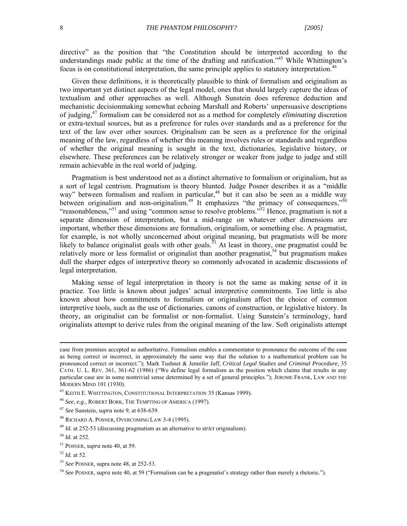directive" as the position that "the Constitution should be interpreted according to the understandings made public at the time of the drafting and ratification.<sup>345</sup> While Whittington's focus is on constitutional interpretation, the same principle applies to statutory interpretation.<sup>46</sup>

Given these definitions, it is theoretically plausible to think of formalism and originalism as two important yet distinct aspects of the legal model, ones that should largely capture the ideas of textualism and other approaches as well. Although Sunstein does reference deduction and mechanistic decisionmaking somewhat echoing Marshall and Roberts' unpersuasive descriptions of judging,47 formalism can be considered not as a method for completely *eliminating* discretion or extra-textual sources, but as a preference for rules over standards and as a preference for the text of the law over other sources. Originalism can be seen as a preference for the original meaning of the law, regardless of whether this meaning involves rules or standards and regardless of whether the original meaning is sought in the text, dictionaries, legislative history, or elsewhere. These preferences can be relatively stronger or weaker from judge to judge and still remain achievable in the real world of judging.

Pragmatism is best understood not as a distinct alternative to formalism or originalism, but as a sort of legal centrism. Pragmatism is theory blunted. Judge Posner describes it as a "middle way" between formalism and realism in particular,<sup>48</sup> but it can also be seen as a middle way between originalism and non-originalism.<sup>49</sup> It emphasizes "the primacy of consequences,"<sup>50</sup> "reasonableness,"<sup>51</sup> and using "common sense to resolve problems."<sup>52</sup> Hence, pragmatism is not a separate dimension of interpretation, but a mid-range on whatever other dimensions are important, whether these dimensions are formalism, originalism, or something else. A pragmatist, for example, is not wholly unconcerned about original meaning, but pragmatists will be more likely to balance originalist goals with other goals.<sup>53</sup> At least in theory, one pragmatist could be relatively more or less formalist or originalist than another pragmatist,<sup>54</sup> but pragmatism makes dull the sharper edges of interpretive theory so commonly advocated in academic discussions of legal interpretation.

Making sense of legal interpretation in theory is not the same as making sense of it in practice. Too little is known about judges' actual interpretive commitments. Too little is also known about how commitments to formalism or originalism affect the choice of common interpretive tools, such as the use of dictionaries, canons of construction, or legislative history. In theory, an originalist can be formalist or non-formalist. Using Sunstein's terminology, hard originalists attempt to derive rules from the original meaning of the law. Soft originalists attempt

case from premises accepted as authoritative. Formalism enables a commentator to pronounce the outcome of the case as being correct or incorrect, in approximately the same way that the solution to a mathematical problem can be pronounced correct or incorrect."); Mark Tushnet & Jennifer Jaff, *Critical Legal Studies and Criminal Procedure*, 35 CATH. U. L. REV. 361, 361-62 (1986) ("We define legal formalism as the position which claims that results in any particular case are in some nontrivial sense determined by a set of general principles."); JEROME FRANK, LAW AND THE MODERN MIND 101 (1930).

<sup>45</sup> KEITH E. WHITTINGTON, CONSTITUTIONAL INTERPRETATION 35 (Kansas 1999).

<sup>46</sup> *See*, *e.g*., ROBERT BORK, THE TEMPTING OF AMERICA (1997).

<sup>47</sup> *See* Sunstein, *supra* note 9, at 638-639.

<sup>48</sup> RICHARD A. POSNER, OVERCOMING LAW 3-4 (1995).

<sup>49</sup> *Id.* at 252-53 (discussing pragmatism as an alternative to *strict* originalism).

<sup>50</sup> *Id.* at 252.

<sup>51</sup> POSNER, *supra* note 40, at 59.

<sup>52</sup> *Id.* at 52.

<sup>53</sup> *See* POSNER, supra note 48, at 252-53.

<sup>54</sup> *See* POSNER, *supra* note 40, at 59 ("Formalism can be a pragmatist's strategy rather than merely a rhetoric.").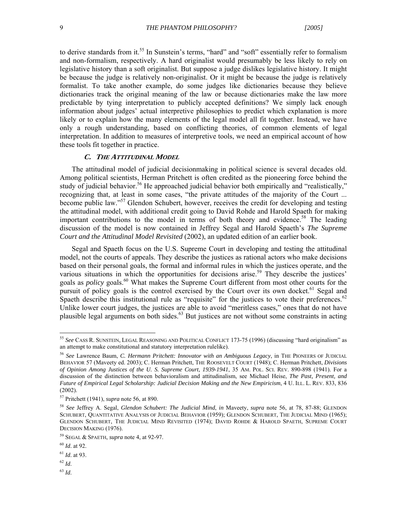to derive standards from it.<sup>55</sup> In Sunstein's terms, "hard" and "soft" essentially refer to formalism and non-formalism, respectively. A hard originalist would presumably be less likely to rely on legislative history than a soft originalist. But suppose a judge dislikes legislative history. It might be because the judge is relatively non-originalist. Or it might be because the judge is relatively formalist. To take another example, do some judges like dictionaries because they believe dictionaries track the original meaning of the law or because dictionaries make the law more predictable by tying interpretation to publicly accepted definitions? We simply lack enough information about judges' actual interpretive philosophies to predict which explanation is more likely or to explain how the many elements of the legal model all fit together. Instead, we have only a rough understanding, based on conflicting theories, of common elements of legal interpretation. In addition to measures of interpretive tools, we need an empirical account of how these tools fit together in practice.

#### **C. THE ATTITUDINAL MODEL**

The attitudinal model of judicial decisionmaking in political science is several decades old. Among political scientists, Herman Pritchett is often credited as the pioneering force behind the study of judicial behavior.<sup>56</sup> He approached judicial behavior both empirically and "realistically," recognizing that, at least in some cases, "the private attitudes of the majority of the Court ... become public law."57 Glendon Schubert, however, receives the credit for developing and testing the attitudinal model, with additional credit going to David Rohde and Harold Spaeth for making important contributions to the model in terms of both theory and evidence.<sup>58</sup> The leading discussion of the model is now contained in Jeffrey Segal and Harold Spaeth's *The Supreme Court and the Attitudinal Model Revisited* (2002), an updated edition of an earlier book.

Segal and Spaeth focus on the U.S. Supreme Court in developing and testing the attitudinal model, not the courts of appeals. They describe the justices as rational actors who make decisions based on their personal goals, the formal and informal rules in which the justices operate, and the various situations in which the opportunities for decisions arise.<sup>59</sup> They describe the justices' goals as *policy* goals.<sup>60</sup> What makes the Supreme Court different from most other courts for the pursuit of policy goals is the control exercised by the Court over its own docket.<sup>61</sup> Segal and Spaeth describe this institutional rule as "requisite" for the justices to vote their preferences. $62$ Unlike lower court judges, the justices are able to avoid "meritless cases," ones that do not have plausible legal arguments on both sides.63 But justices are not without some constraints in acting

<sup>62</sup> *Id*.

 $\overline{a}$ 

<sup>63</sup> *Id*.

<sup>55</sup> *See* CASS R. SUNSTEIN, LEGAL REASONING AND POLITICAL CONFLICT 173-75 (1996) (discussing "hard originalism" as an attempt to make constitutional and statutory interpretation rulelike).

<sup>56</sup> *See* Lawrence Baum, *C. Hermann Pritchett: Innovator with an Ambiguous Legacy*, in THE PIONEERS OF JUDICIAL BEHAVIOR 57 (Maveety ed. 2003); C. Herman Pritchett, THE ROOSEVELT COURT (1948); C. Herman Pritchett, *Divisions of Opinion Among Justices of the U. S. Supreme Court, 1939-1941*, 35 AM. POL. SCI. REV. 890-898 (1941). For a discussion of the distinction between behavioralism and attitudinalism, see Michael Heise, *The Past, Present, and Future of Empirical Legal Scholarship: Judicial Decision Making and the New Empiricism*, 4 U. ILL. L. REV. 833, 836 (2002).

<sup>57</sup> Pritchett (1941), *supra* note 56, at 890.

<sup>58</sup> *See* Jeffrey A. Segal, *Glendon Schubert: The Judicial Mind*, *in* Maveety, *supra* note 56, at 78, 87-88; GLENDON SCHUBERT, QUANTITATIVE ANALYSIS OF JUDICIAL BEHAVIOR (1959); GLENDON SCHUBERT, THE JUDICIAL MIND (1965); GLENDON SCHUBERT, THE JUDICIAL MIND REVISITED (1974); DAVID ROHDE & HAROLD SPAETH, SUPREME COURT DECISION MAKING (1976).

<sup>59</sup> SEGAL & SPAETH, *supra* note 4, at 92-97.

<sup>60</sup> *Id*. at 92.

<sup>61</sup> *Id*. at 93.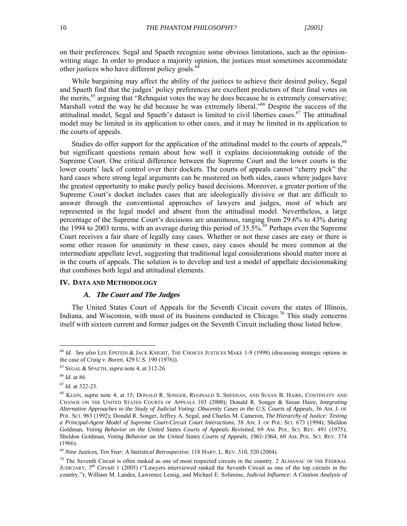on their preferences. Segal and Spaeth recognize some obvious limitations, such as the opinionwriting stage. In order to produce a majority opinion, the justices must sometimes accommodate other justices who have different policy goals.<sup>64</sup>

While bargaining may affect the ability of the justices to achieve their desired policy, Segal and Spaeth find that the judges' policy preferences are excellent predictors of their final votes on the merits,  $65$  arguing that "Rehnquist votes the way he does because he is extremely conservative; Marshall voted the way he did because he was extremely liberal."<sup>66</sup> Despite the success of the attitudinal model, Segal and Spaeth's dataset is limited to civil liberties cases.<sup>67</sup> The attitudinal model may be limited in its application to other cases, and it may be limited in its application to the courts of appeals.

Studies do offer support for the application of the attitudinal model to the courts of appeals,<sup>68</sup> but significant questions remain about how well it explains decisionmaking outside of the Supreme Court. One critical difference between the Supreme Court and the lower courts is the lower courts' lack of control over their dockets. The courts of appeals cannot "cherry pick" the hard cases where strong legal arguments can be mustered on both sides, cases where judges have the greatest opportunity to make purely policy based decisions. Moreover, a greater portion of the Supreme Court's docket includes cases that are ideologically divisive or that are difficult to answer through the conventional approaches of lawyers and judges, most of which are represented in the legal model and absent from the attitudinal model. Nevertheless, a large percentage of the Supreme Court's decisions are unanimous, ranging from 29.6% to 43% during the 1994 to 2003 terms, with an average during this period of  $35.5\%$ <sup>69</sup> Perhaps even the Supreme Court receives a fair share of legally easy cases. Whether or not these cases are easy or there is some other reason for unanimity in these cases, easy cases should be more common at the intermediate appellate level, suggesting that traditional legal considerations should matter more at in the courts of appeals. The solution is to develop and test a model of appellate decisionmaking that combines both legal and attitudinal elements.

#### **IV. DATA AND METHODOLOGY**

#### *A.* **The Court and The Judges**

The United States Court of Appeals for the Seventh Circuit covers the states of Illinois, Indiana, and Wisconsin, with most of its business conducted in Chicago.<sup>70</sup> This study concerns itself with sixteen current and former judges on the Seventh Circuit including those listed below.

<sup>64</sup> *Id*. *See also* LEE EPSTEIN & JACK KNIGHT, THE CHOICES JUSTICES MAKE 1-9 (1998) (discussing strategic options in the case of *Craig v. Boren*, 429 U.S. 190 (1976)).

<sup>65</sup> SEGAL & SPAETH, *supra* note 4, at 312-26.

<sup>66</sup> *Id*. at 86.

<sup>67</sup> *Id*. at 322-23.

<sup>68</sup> KLEIN, *supra* note 4, at 15; DONALD R. SONGER, REGINALD S. SHEEHAN, AND SUSAN B. HAIRE, CONTINUITY AND CHANGE ON THE UNITED STATES COURTS OF APPEALS 103 (2000); Donald R. Songer & Susan Haire, *Integrating Alternative Approaches to the Study of Judicial Voting: Obscenity Cases in the U.S. Courts of Appeals*, 36 AM. J. OF POL. SCI. 963 (1992); Donald R. Songer, Jeffrey A. Segal, and Charles M. Cameron, *The Hierarchy of Justice: Testing a Principal-Agent Model of Supreme Court-Circuit Court Interactions*, 38 AM. J. OF POL. SCI. 673 (1994); Sheldon Goldman, *Voting Behavior on the United States Courts of Appeals Revisited,* 69 AM. POL. SCI. REV. 491 (1975); Sheldon Goldman, *Voting Behavior on the United States Courts of Appeals, 1961-1964*, 60 AM. POL. SCI. REV. 374 (1966).

<sup>69</sup> *Nine Justices, Ten Year: A Statistical Retrospective*, 118 HARV. L. REV. 510, 520 (2004).

 $70$  The Seventh Circuit is often ranked as one of most respected circuits in the country. 2 ALMANAC OF THE FEDERAL JUDICIARY, 7<sup>th</sup> Circuit 1 (2005) ("Lawyers interviewed ranked the Seventh Circuit as one of the top circuits in the country."); William M. Landes, Lawrence Lessig, and Michael E. Solimine*, Judicial Influence: A Citation Analysis of*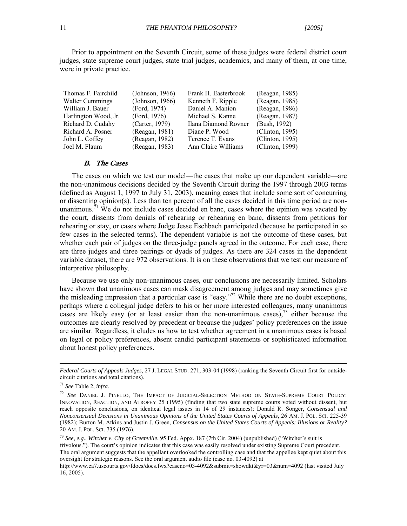Prior to appointment on the Seventh Circuit, some of these judges were federal district court judges, state supreme court judges, state trial judges, academics, and many of them, at one time, were in private practice.

| Thomas F. Fairchild    | (Johnson, 1966) | Frank H. Easterbrook | (Reagan, 1985)  |
|------------------------|-----------------|----------------------|-----------------|
| <b>Walter Cummings</b> | (Johnson, 1966) | Kenneth F. Ripple    | (Reagan, 1985)  |
| William J. Bauer       | (Ford, 1974)    | Daniel A. Manion     | (Reagan, 1986)  |
| Harlington Wood, Jr.   | (Ford, 1976)    | Michael S. Kanne     | (Reagan, 1987)  |
| Richard D. Cudahy      | (Carter, 1979)  | Ilana Diamond Rovner | (Bush, 1992)    |
| Richard A. Posner      | (Reagan, 1981)  | Diane P. Wood        | (Clinton, 1995) |
| John L. Coffey         | (Reagan, 1982)  | Terence T. Evans     | (Clinton, 1995) |
| Joel M. Flaum          | (Reagan, 1983)  | Ann Claire Williams  | (Clinton, 1999) |

#### **B. The Cases**

The cases on which we test our model—the cases that make up our dependent variable—are the non-unanimous decisions decided by the Seventh Circuit during the 1997 through 2003 terms (defined as August 1, 1997 to July 31, 2003), meaning cases that include some sort of concurring or dissenting opinion(s). Less than ten percent of all the cases decided in this time period are nonunanimous.<sup>71</sup> We do not include cases decided en banc, cases where the opinion was vacated by the court, dissents from denials of rehearing or rehearing en banc, dissents from petitions for rehearing or stay, or cases where Judge Jesse Eschbach participated (because he participated in so few cases in the selected terms). The dependent variable is not the outcome of these cases, but whether each pair of judges on the three-judge panels agreed in the outcome. For each case, there are three judges and three pairings or dyads of judges. As there are 324 cases in the dependent variable dataset, there are 972 observations. It is on these observations that we test our measure of interpretive philosophy.

Because we use only non-unanimous cases, our conclusions are necessarily limited. Scholars have shown that unanimous cases can mask disagreement among judges and may sometimes give the misleading impression that a particular case is "easy."72 While there are no doubt exceptions, perhaps where a collegial judge defers to his or her more interested colleagues, many unanimous cases are likely easy (or at least easier than the non-unanimous cases),  $^{73}$  either because the outcomes are clearly resolved by precedent or because the judges' policy preferences on the issue are similar. Regardless, it eludes us how to test whether agreement in a unanimous cases is based on legal or policy preferences, absent candid participant statements or sophisticated information about honest policy preferences.

*Federal Courts of Appeals Judges*, 27 J. LEGAL STUD. 271, 303-04 (1998) (ranking the Seventh Circuit first for outsidecircuit citations and total citations).

<sup>71</sup> *See* Table 2, *infra*.

<sup>72</sup> *See* DANIEL J. PINELLO, THE IMPACT OF JUDICIAL-SELECTION METHOD ON STATE-SUPREME COURT POLICY: INNOVATION, REACTION, AND ATROPHY 25 (1995) (finding that two state supreme courts voted without dissent, but reach opposite conclusions, on identical legal issues in 14 of 29 instances); Donald R. Songer, *Consensual and Nonconsensual Decisions in Unanimous Opinions of the United States Courts of Appeals*, 26 AM. J. POL. SCI. 225-39 (1982); Burton M. Atkins and Justin J. Green, *Consensus on the United States Courts of Appeals: Illusions or Reality?* 20 AM. J. POL. SCI. 735 (1976).

<sup>73</sup> *See*, *e.g*., *Witcher v. City of Greenville*, 95 Fed. Appx. 187 (7th Cir. 2004) (unpublished) ("Witcher's suit is frivolous."). The court's opinion indicates that this case was easily resolved under existing Supreme Court precedent. The oral argument suggests that the appellant overlooked the controlling case and that the appellee kept quiet about this oversight for strategic reasons. See the oral argument audio file (case no. 03-4092) at

http://www.ca7.uscourts.gov/fdocs/docs.fwx?caseno=03-4092&submit=showdkt&yr=03&num=4092 (last visited July 16, 2005).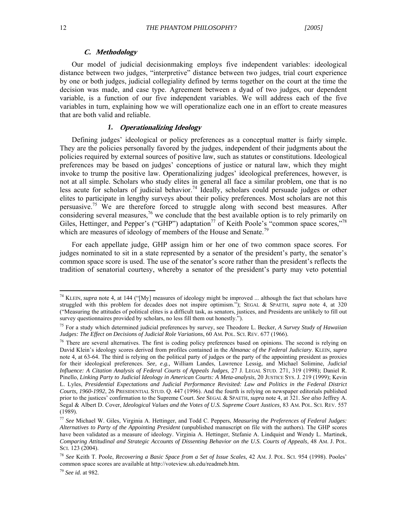#### **C. Methodology**

Our model of judicial decisionmaking employs five independent variables: ideological distance between two judges, "interpretive" distance between two judges, trial court experience by one or both judges, judicial collegiality defined by terms together on the court at the time the decision was made, and case type. Agreement between a dyad of two judges, our dependent variable, is a function of our five independent variables. We will address each of the five variables in turn, explaining how we will operationalize each one in an effort to create measures that are both valid and reliable.

#### *1.* **Operationalizing Ideology**

 Defining judges' ideological or policy preferences as a conceptual matter is fairly simple. They are the policies personally favored by the judges, independent of their judgments about the policies required by external sources of positive law, such as statutes or constitutions. Ideological preferences may be based on judges' conceptions of justice or natural law, which they might invoke to trump the positive law. Operationalizing judges' ideological preferences, however, is not at all simple. Scholars who study elites in general all face a similar problem, one that is no less acute for scholars of judicial behavior.<sup>74</sup> Ideally, scholars could persuade judges or other elites to participate in lengthy surveys about their policy preferences. Most scholars are not this persuasive.<sup>75</sup> We are therefore forced to struggle along with second best measures. After considering several measures,<sup>76</sup> we conclude that the best available option is to rely primarily on Giles, Hettinger, and Pepper's ("GHP") adaptation<sup>77</sup> of Keith Poole's "common space scores,"<sup>78</sup> which are measures of ideology of members of the House and Senate.<sup>79</sup>

For each appellate judge, GHP assign him or her one of two common space scores. For judges nominated to sit in a state represented by a senator of the president's party, the senator's common space score is used. The use of the senator's score rather than the president's reflects the tradition of senatorial courtesy, whereby a senator of the president's party may veto potential

<sup>74</sup> KLEIN, *supra* note 4, at 144 ("[My] measures of ideology might be improved ... although the fact that scholars have struggled with this problem for decades does not inspire optimism."); SEGAL & SPAETH, *supra* note 4, at 320 ("Measuring the attitudes of political elites is a difficult task, as senators, justices, and Presidents are unlikely to fill out survey questionnaires provided by scholars, no less fill them out honestly.").

<sup>75</sup> For a study which determined judicial preferences by survey, see Theodore L. Becker, *A Survey Study of Hawaiian Judges: The Effect on Decisions of Judicial Role Variations*, 60 AM. POL. SCI. REV. 677 (1966).

<sup>&</sup>lt;sup>76</sup> There are several alternatives. The first is coding policy preferences based on opinions. The second is relying on David Klein's ideology scores derived from profiles contained in the *Almanac of the Federal Judiciary*. KLEIN, *supra* note 4, at 63-64. The third is relying on the political party of judges or the party of the appointing president as proxies for their ideological preferences. *See, e.g.,* William Landes, Lawrence Lessig, and Michael Solimine, *Judicial Influence: A Citation Analysis of Federal Courts of Appeals Judges*, 27 J. LEGAL STUD. 271, 319 (1998); Daniel R. Pinello, *Linking Party to Judicial Ideology in American Courts: A Meta-analysis*, 20 JUSTICE SYS. J. 219 (1999); Kevin L. Lyles, *Presidential Expectations and Judicial Performance Revisited: Law and Politics in the Federal District Courts, 1960-1992*, 26 PRESIDENTIAL STUD. Q. 447 (1996). And the fourth is relying on newspaper editorials published prior to the justices' confirmation to the Supreme Court. *See* SEGAL & SPAETH, *supra* note 4, at 321. *See also* Jeffrey A. Segal & Albert D. Cover, *Ideological Values and the Votes of U.S. Supreme Court Justices,* 83 AM. POL. SCI. REV. 557 (1989).

<sup>77</sup> *See* Michael W. Giles, Virginia A. Hettinger, and Todd C. Peppers, *Measuring the Preferences of Federal Judges: Alternatives to Party of the Appointing President* (unpublished manuscript on file with the authors). The GHP scores have been validated as a measure of ideology. Virginia A. Hettinger, Stefanie A. Lindquist and Wendy L. Martinek, *Comparing Attitudinal and Strategic Accounts of Dissenting Behavior on the U.S. Courts of Appeals*, 48 AM. J. POL. SCI. 123 (2004).

<sup>78</sup> *See* Keith T. Poole, *Recovering a Basic Space from a Set of Issue Scales*, 42 AM. J. POL. SCI. 954 (1998). Pooles' common space scores are available at http://voteview.uh.edu/readmeb.htm.

<sup>79</sup> *See id.* at 982.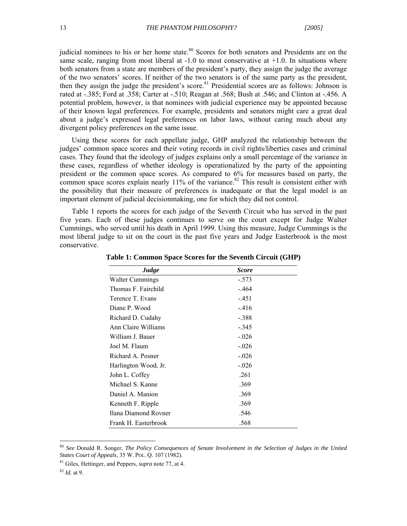judicial nominees to his or her home state.<sup>80</sup> Scores for both senators and Presidents are on the same scale, ranging from most liberal at -1.0 to most conservative at +1.0. In situations where both senators from a state are members of the president's party, they assign the judge the average of the two senators' scores. If neither of the two senators is of the same party as the president, then they assign the judge the president's score.<sup>81</sup> Presidential scores are as follows: Johnson is rated at -.385; Ford at .358; Carter at -.510; Reagan at .568; Bush at .546; and Clinton at -.456. A potential problem, however, is that nominees with judicial experience may be appointed because of their known legal preferences. For example, presidents and senators might care a great deal about a judge's expressed legal preferences on labor laws, without caring much about any divergent policy preferences on the same issue.

Using these scores for each appellate judge, GHP analyzed the relationship between the judges' common space scores and their voting records in civil rights/liberties cases and criminal cases. They found that the ideology of judges explains only a small percentage of the variance in these cases, regardless of whether ideology is operationalized by the party of the appointing president or the common space scores. As compared to 6% for measures based on party, the common space scores explain nearly 11% of the variance.<sup>82</sup> This result is consistent either with the possibility that their measure of preferences is inadequate or that the legal model is an important element of judicial decisionmaking, one for which they did not control.

Table 1 reports the scores for each judge of the Seventh Circuit who has served in the past five years. Each of these judges continues to serve on the court except for Judge Walter Cummings, who served until his death in April 1999. Using this measure, Judge Cummings is the most liberal judge to sit on the court in the past five years and Judge Easterbrook is the most conservative.

| Judge                | <b>Score</b> |  |
|----------------------|--------------|--|
| Walter Cummings      | $-.573$      |  |
| Thomas F. Fairchild  | $-464$       |  |
| Terence T. Evans     | $-.451$      |  |
| Diane P. Wood        | $-416$       |  |
| Richard D. Cudahy    | $-.388$      |  |
| Ann Claire Williams  | $-.345$      |  |
| William J. Bauer     | $-.026$      |  |
| Joel M. Flaum        | $-.026$      |  |
| Richard A. Posner    | $-.026$      |  |
| Harlington Wood, Jr. | $-.026$      |  |
| John L. Coffey       | .261         |  |
| Michael S. Kanne     | .369         |  |
| Daniel A. Manion     | .369         |  |
| Kenneth F. Ripple    | .369         |  |
| Ilana Diamond Rovner | .546         |  |
| Frank H. Easterbrook | .568         |  |

**Table 1: Common Space Scores for the Seventh Circuit (GHP)** 

<sup>80</sup> *See* Donald R. Songer, *The Policy Consequences of Senate Involvement in the Selection of Judges in the United States Court of Appeals*, 35 W. POL. Q. 107 (1982).

<sup>81</sup> Giles, Hettinger, and Peppers, *supra* note 77, at 4.

<sup>82</sup> *Id.* at 9.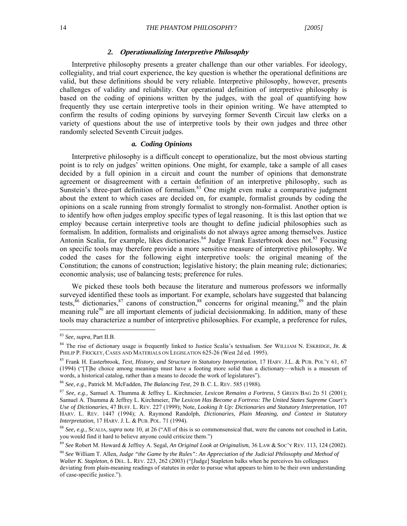#### *2.* **Operationalizing Interpretive Philosophy**

Interpretive philosophy presents a greater challenge than our other variables. For ideology, collegiality, and trial court experience, the key question is whether the operational definitions are valid, but these definitions should be very reliable. Interpretive philosophy, however, presents challenges of validity and reliability. Our operational definition of interpretive philosophy is based on the coding of opinions written by the judges, with the goal of quantifying how frequently they use certain interpretive tools in their opinion writing. We have attempted to confirm the results of coding opinions by surveying former Seventh Circuit law clerks on a variety of questions about the use of interpretive tools by their own judges and three other randomly selected Seventh Circuit judges.

#### *a.**Coding Opinions*

Interpretive philosophy is a difficult concept to operationalize, but the most obvious starting point is to rely on judges' written opinions. One might, for example, take a sample of all cases decided by a full opinion in a circuit and count the number of opinions that demonstrate agreement or disagreement with a certain definition of an interpretive philosophy, such as Sunstein's three-part definition of formalism.<sup>83</sup> One might even make a comparative judgment about the extent to which cases are decided on, for example, formalist grounds by coding the opinions on a scale running from strongly formalist to strongly non-formalist. Another option is to identify how often judges employ specific types of legal reasoning. It is this last option that we employ because certain interpretive tools are thought to define judicial philosophies such as formalism. In addition, formalists and originalists do not always agree among themselves. Justice Antonin Scalia, for example, likes dictionaries.<sup>84</sup> Judge Frank Easterbrook does not.<sup>85</sup> Focusing on specific tools may therefore provide a more sensitive measure of interpretive philosophy. We coded the cases for the following eight interpretive tools: the original meaning of the Constitution; the canons of construction; legislative history; the plain meaning rule; dictionaries; economic analysis; use of balancing tests; preference for rules.

We picked these tools both because the literature and numerous professors we informally surveyed identified these tools as important. For example, scholars have suggested that balancing tests,  $86$  dictionaries,  $87$  canons of construction,  $88$  concerns for original meaning,  $89$  and the plain meaning rule<sup>90</sup> are all important elements of judicial decision making. In addition, many of these tools may characterize a number of interpretive philosophies. For example, a preference for rules,

<sup>83</sup> *See, supra,* Part II.B.

<sup>84</sup> The rise of dictionary usage is frequently linked to Justice Scalia's textualism. *See* WILLIAM N. ESKRIDGE, JR. & PHILIP P. FRICKEY, CASES AND MATERIALS ON LEGISLATION 625-26 (West 2d ed. 1995).

<sup>85</sup> Frank H. Easterbrook, *Text, History, and Structure in Statutory Interpretation*, 17 HARV. J.L. & PUB. POL'Y 61, 67 (1994) ("[T]he choice among meanings must have a footing more solid than a dictionary—which is a museum of words, a historical catalog, rather than a means to decode the work of legislatures").

<sup>86</sup> *See, e.g.,* Patrick M. McFadden, *The Balancing Test*, 29 B. C. L. REV. 585 (1988).

<sup>87</sup> *See, e.g.,* Samuel A. Thumma & Jeffrey L. Kirchmeier*, Lexicon Remains a Fortress*, 5 GREEN BAG 2D 51 (2001); Samuel A. Thumma & Jeffrey L. Kirchmeier, *The Lexicon Has Become a Fortress: The United States Supreme Court's Use of Dictionaries*, 47 BUFF. L. REV. 227 (1999); Note, *Looking It Up: Dictionaries and Statutory Interpretation*, 107 HARV. L. REV. 1447 (1994); A. Raymond Randolph, *Dictionaries, Plain Meaning, and Context in Statutory Interpretation*, 17 HARV. J. L. & PUB. POL. 71 (1994).

<sup>88</sup> *See, e.g.,* SCALIA, *supra* note 10, at 26 ("All of this is so commonsensical that, were the canons not couched in Latin, you would find it hard to believe anyone could criticize them.")

<sup>89</sup> *See* Robert M. Howard & Jeffrey A. Segal, *An Original Look at Originalism*, 36 LAW & SOC'Y REV. 113, 124 (2002).

<sup>90</sup> *See* William T. Allen, *Judge "the Game by the Rules": An Appreciation of the Judicial Philosophy and Method of Walter K. Stapleton*, 6 DEL. L. REV. 223, 262 (2003) ("[Judge] Stapleton balks when he perceives his colleagues deviating from plain-meaning readings of statutes in order to pursue what appears to him to be their own understanding of case-specific justice.").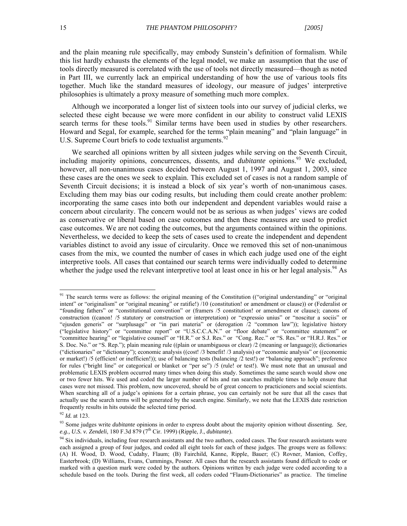and the plain meaning rule specifically, may embody Sunstein's definition of formalism. While this list hardly exhausts the elements of the legal model, we make an assumption that the use of tools directly measured is correlated with the use of tools not directly measured—though as noted in Part III, we currently lack an empirical understanding of how the use of various tools fits together. Much like the standard measures of ideology, our measure of judges' interpretive philosophies is ultimately a proxy measure of something much more complex.

Although we incorporated a longer list of sixteen tools into our survey of judicial clerks, we selected these eight because we were more confident in our ability to construct valid LEXIS search terms for these tools.<sup>91</sup> Similar terms have been used in studies by other researchers. Howard and Segal, for example, searched for the terms "plain meaning" and "plain language" in U.S. Supreme Court briefs to code textualist arguments.<sup>92</sup>

We searched all opinions written by all sixteen judges while serving on the Seventh Circuit, including majority opinions, concurrences, dissents, and *dubitante* opinions.<sup>93</sup> We excluded, however, all non-unanimous cases decided between August 1, 1997 and August 1, 2003, since these cases are the ones we seek to explain. This excluded set of cases is not a random sample of Seventh Circuit decisions; it is instead a block of six year's worth of non-unanimous cases. Excluding them may bias our coding results, but including them could create another problem: incorporating the same cases into both our independent and dependent variables would raise a concern about circularity. The concern would not be as serious as when judges' views are coded as conservative or liberal based on case outcomes and then these measures are used to predict case outcomes. We are not coding the outcomes, but the arguments contained within the opinions. Nevertheless, we decided to keep the sets of cases used to create the independent and dependent variables distinct to avoid any issue of circularity. Once we removed this set of non-unanimous cases from the mix, we counted the number of cases in which each judge used one of the eight interpretive tools. All cases that contained our search terms were individually coded to determine whether the judge used the relevant interpretive tool at least once in his or her legal analysis.<sup>94</sup> As

<sup>&</sup>lt;sup>91</sup> The search terms were as follows: the original meaning of the Constitution (("original understanding" or "original") intent" or "originalism" or "original meaning" or ratifie!) /10 (constitution! or amendment or clause)) or (Federalist or "founding fathers" or "constitutional convention" or (framers /5 constitution! or amendment or clause); canons of construction ((canon! /5 statutory or construction or interpretation) or "expressio unius" or "noscitur a sociis" or "ejusden generis" or "surplusage" or "in pari materia" or (derogation /2 "common law")); legislative history ("legislative history" or "committee report" or "U.S.C.C.A.N." or "floor debate" or "committee statement" or "committee hearing" or "legislative counsel" or "H.R." or S.J. Res." or "Cong. Rec." or "S. Res." or "H.R.J. Res." or S. Doc. No." or "S. Rep."); plain meaning rule ((plain or unambiguous or clear) /2 (meaning or language)); dictionaries ("dictionaries" or "dictionary"); economic analysis ((cost! /3 benefit! /3 analysis) or "economic analysis" or ((economic or market!) /5 (efficien! or inefficien!)); use of balancing tests (balancing /2 test!) or "balancing approach"; preference for rules ("bright line" or categorical or blanket or "per se") /5 (rule! or test!). We must note that an unusual and problematic LEXIS problem occurred many times when doing this study. Sometimes the same search would show one or two fewer hits. We used and coded the larger number of hits and ran searches multiple times to help ensure that cases were not missed. This problem, now uncovered, should be of great concern to practicioners and social scientists. When searching all of a judge's opinions for a certain phrase, you can certainly not be sure that all the cases that actually use the search terms will be generated by the search engine. Similarly, we note that the LEXIS date restriction frequently results in hits outside the selected time period.

<sup>92</sup> *Id.* at 123.

<sup>93</sup> Some judges write *dubitante* opinions in order to express doubt about the majority opinion without dissenting*. See, e.g., U.S. v. Zendeli*, 180 F.3d 879 (7th Cir. 1999) (Ripple, J., *dubitante*).

<sup>&</sup>lt;sup>94</sup> Six individuals, including four research assistants and the two authors, coded cases. The four research assistants were each assigned a group of four judges, and coded all eight tools for each of these judges. The groups were as follows: (A) H. Wood, D. Wood, Cudahy, Flaum; (B) Fairchild, Kanne, Ripple, Bauer; (C) Rovner, Manion, Coffey, Easterbrook; (D) Williams, Evans, Cummings, Posner. All cases that the research assistants found difficult to code or marked with a question mark were coded by the authors. Opinions written by each judge were coded according to a schedule based on the tools. During the first week, all coders coded "Flaum-Dictionaries" as practice. The timeline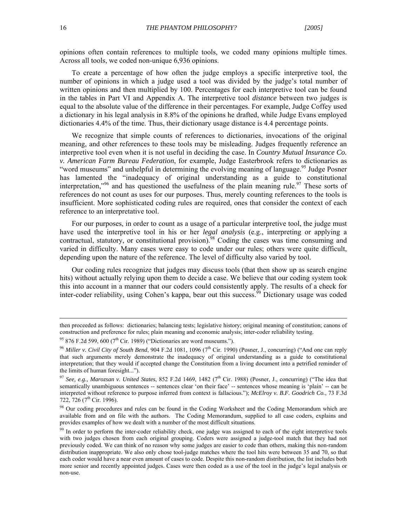opinions often contain references to multiple tools, we coded many opinions multiple times. Across all tools, we coded non-unique 6,936 opinions.

To create a percentage of how often the judge employs a specific interpretive tool, the number of opinions in which a judge used a tool was divided by the judge's total number of written opinions and then multiplied by 100. Percentages for each interpretive tool can be found in the tables in Part VI and Appendix A. The interpretive tool *distance* between two judges is equal to the absolute value of the difference in their percentages. For example, Judge Coffey used a dictionary in his legal analysis in 8.8% of the opinions he drafted, while Judge Evans employed dictionaries 4.4% of the time. Thus, their dictionary usage distance is 4.4 percentage points.

We recognize that simple counts of references to dictionaries, invocations of the original meaning, and other references to these tools may be misleading. Judges frequently reference an interpretive tool even when it is not useful in deciding the case. In *Country Mutual Insurance Co. v. American Farm Bureau Federation*, for example, Judge Easterbrook refers to dictionaries as "word museums" and unhelpful in determining the evolving meaning of language.<sup>95</sup> Judge Posner has lamented the "inadequacy of original understanding as a guide to constitutional interpretation,"<sup>96</sup> and has questioned the usefulness of the plain meaning rule.<sup>97</sup> These sorts of references do not count as uses for our purposes. Thus, merely counting references to the tools is insufficient. More sophisticated coding rules are required, ones that consider the context of each reference to an interpretative tool.

For our purposes, in order to count as a usage of a particular interpretive tool, the judge must have used the interpretive tool in his or her *legal analysis* (e.g., interpreting or applying a contractual, statutory, or constitutional provision).<sup>98</sup> Coding the cases was time consuming and varied in difficulty. Many cases were easy to code under our rules; others were quite difficult, depending upon the nature of the reference. The level of difficulty also varied by tool.

Our coding rules recognize that judges may discuss tools (that then show up as search engine hits) without actually relying upon them to decide a case. We believe that our coding system took this into account in a manner that our coders could consistently apply. The results of a check for inter-coder reliability, using Cohen's kappa, bear out this success.<sup>99</sup> Dictionary usage was coded

then proceeded as follows: dictionaries; balancing tests; legislative history; original meaning of constitution; canons of construction and preference for rules; plain meaning and economic analysis; inter-coder reliability testing.

<sup>&</sup>lt;sup>95</sup> 876 F.2d 599, 600 ( $7<sup>th</sup>$  Cir. 1989) ("Dictionaries are word museums.").

<sup>&</sup>lt;sup>96</sup> Miller v. Civil City of South Bend, 904 F.2d 1081, 1096 (7<sup>th</sup> Cir. 1990) (Posner, J., concurring) ("And one can reply that such arguments merely demonstrate the inadequacy of original understanding as a guide to constitutional interpretation; that they would if accepted change the Constitution from a living document into a petrified reminder of the limits of human foresight...").

<sup>&</sup>lt;sup>97</sup> See, e.g., Marozsan v. United States, 852 F.2d 1469, 1482 (7<sup>th</sup> Cir. 1988) (Posner, J., concurring) ("The idea that semantically unambiguous sentences -- sentences clear 'on their face' -- sentences whose meaning is 'plain' -- can be interpreted without reference to purpose inferred from context is fallacious."); *McElroy v. B.F. Goodrich Co.*, 73 F.3d 722, 726 (7<sup>th</sup> Cir. 1996).

<sup>&</sup>lt;sup>98</sup> Our coding procedures and rules can be found in the Coding Worksheet and the Coding Memorandum which are available from and on file with the authors. The Coding Memorandum, supplied to all case coders, explains and provides examples of how we dealt with a number of the most difficult situations.

<sup>&</sup>lt;sup>99</sup> In order to perform the inter-coder reliability check, one judge was assigned to each of the eight interpretive tools with two judges chosen from each original grouping. Coders were assigned a judge-tool match that they had not previously coded. We can think of no reason why some judges are easier to code than others, making this non-random distribution inappropriate. We also only chose tool-judge matches where the tool hits were between 35 and 70, so that each coder would have a near even amount of cases to code. Despite this non-random distribution, the list includes both more senior and recently appointed judges. Cases were then coded as a use of the tool in the judge's legal analysis or non-use.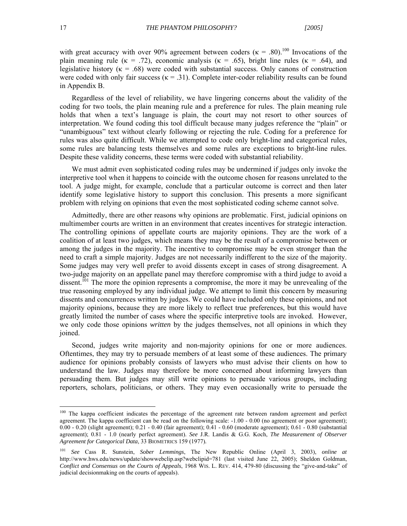with great accuracy with over 90% agreement between coders ( $\kappa = .80$ ).<sup>100</sup> Invocations of the plain meaning rule ( $\kappa = .72$ ), economic analysis ( $\kappa = .65$ ), bright line rules ( $\kappa = .64$ ), and legislative history ( $\kappa = .68$ ) were coded with substantial success. Only canons of construction were coded with only fair success ( $\kappa$  = .31). Complete inter-coder reliability results can be found in Appendix B.

Regardless of the level of reliability, we have lingering concerns about the validity of the coding for two tools, the plain meaning rule and a preference for rules. The plain meaning rule holds that when a text's language is plain, the court may not resort to other sources of interpretation. We found coding this tool difficult because many judges reference the "plain" or "unambiguous" text without clearly following or rejecting the rule. Coding for a preference for rules was also quite difficult. While we attempted to code only bright-line and categorical rules, some rules are balancing tests themselves and some rules are exceptions to bright-line rules. Despite these validity concerns, these terms were coded with substantial reliability.

We must admit even sophisticated coding rules may be undermined if judges only invoke the interpretive tool when it happens to coincide with the outcome chosen for reasons unrelated to the tool. A judge might, for example, conclude that a particular outcome is correct and then later identify some legislative history to support this conclusion. This presents a more significant problem with relying on opinions that even the most sophisticated coding scheme cannot solve.

Admittedly, there are other reasons why opinions are problematic. First, judicial opinions on multimember courts are written in an environment that creates incentives for strategic interaction. The controlling opinions of appellate courts are majority opinions. They are the work of a coalition of at least two judges, which means they may be the result of a compromise between or among the judges in the majority. The incentive to compromise may be even stronger than the need to craft a simple majority. Judges are not necessarily indifferent to the size of the majority. Some judges may very well prefer to avoid dissents except in cases of strong disagreement. A two-judge majority on an appellate panel may therefore compromise with a third judge to avoid a dissent.<sup>101</sup> The more the opinion represents a compromise, the more it may be unrevealing of the true reasoning employed by any individual judge. We attempt to limit this concern by measuring dissents and concurrences written by judges. We could have included only these opinions, and not majority opinions, because they are more likely to reflect true preferences, but this would have greatly limited the number of cases where the specific interpretive tools are invoked. However, we only code those opinions *written* by the judges themselves, not all opinions in which they joined.

Second, judges write majority and non-majority opinions for one or more audiences. Oftentimes, they may try to persuade members of at least some of these audiences. The primary audience for opinions probably consists of lawyers who must advise their clients on how to understand the law. Judges may therefore be more concerned about informing lawyers than persuading them. But judges may still write opinions to persuade various groups, including reporters, scholars, politicians, or others. They may even occasionally write to persuade the

<sup>&</sup>lt;sup>100</sup> The kappa coefficient indicates the percentage of the agreement rate between random agreement and perfect agreement. The kappa coefficient can be read on the following scale: -1.00 - 0.00 (no agreement or poor agreement); 0.00 - 0.20 (slight agreement); 0.21 - 0.40 (fair agreement); 0.41 - 0.60 (moderate agreement); 0.61 - 0.80 (substantial agreement); 0.81 - 1.0 (nearly perfect agreement). *See* J.R. Landis & G.G. Koch, *The Measurement of Observer Agreement for Categorical Data*, 33 BIOMETRICS 159 (1977)*.*

<sup>101</sup> *See* Cass R. Sunstein, *Sober Lemmings*, The New Republic Online (April 3, 2003), *online at* http://www.hws.edu/news/update/showwebclip.asp?webclipid=781 (last visited June 22, 2005); Sheldon Goldman, *Conflict and Consensus on the Courts of Appeals*, 1968 WIS. L. REV. 414, 479-80 (discussing the "give-and-take" of judicial decisionmaking on the courts of appeals).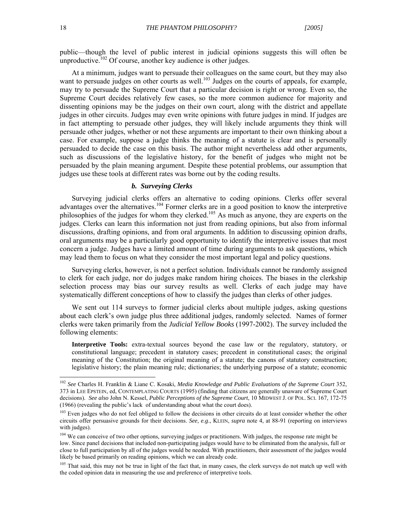public—though the level of public interest in judicial opinions suggests this will often be unproductive.<sup>102</sup> Of course, another key audience is other judges.

At a minimum, judges want to persuade their colleagues on the same court, but they may also want to persuade judges on other courts as well.<sup>103</sup> Judges on the courts of appeals, for example, may try to persuade the Supreme Court that a particular decision is right or wrong. Even so, the Supreme Court decides relatively few cases, so the more common audience for majority and dissenting opinions may be the judges on their own court, along with the district and appellate judges in other circuits. Judges may even write opinions with future judges in mind. If judges are in fact attempting to persuade other judges, they will likely include arguments they think will persuade other judges, whether or not these arguments are important to their own thinking about a case. For example, suppose a judge thinks the meaning of a statute is clear and is personally persuaded to decide the case on this basis. The author might nevertheless add other arguments, such as discussions of the legislative history, for the benefit of judges who might not be persuaded by the plain meaning argument. Despite these potential problems, our assumption that judges use these tools at different rates was borne out by the coding results.

#### *b.**Surveying Clerks*

Surveying judicial clerks offers an alternative to coding opinions. Clerks offer several advantages over the alternatives.<sup>104</sup> Former clerks are in a good position to know the interpretive philosophies of the judges for whom they clerked.<sup>105</sup> As much as anyone, they are experts on the judges. Clerks can learn this information not just from reading opinions, but also from informal discussions, drafting opinions, and from oral arguments. In addition to discussing opinion drafts, oral arguments may be a particularly good opportunity to identify the interpretive issues that most concern a judge. Judges have a limited amount of time during arguments to ask questions, which may lead them to focus on what they consider the most important legal and policy questions.

Surveying clerks, however, is not a perfect solution. Individuals cannot be randomly assigned to clerk for each judge, nor do judges make random hiring choices. The biases in the clerkship selection process may bias our survey results as well. Clerks of each judge may have systematically different conceptions of how to classify the judges than clerks of other judges.

We sent out 114 surveys to former judicial clerks about multiple judges, asking questions about each clerk's own judge plus three additional judges, randomly selected. Names of former clerks were taken primarily from the *Judicial Yellow Books* (1997-2002). The survey included the following elements:

**Interpretive Tools:** extra-textual sources beyond the case law or the regulatory, statutory, or constitutional language; precedent in statutory cases; precedent in constitutional cases; the original meaning of the Constitution; the original meaning of a statute; the canons of statutory construction; legislative history; the plain meaning rule; dictionaries; the underlying purpose of a statute; economic

<sup>102</sup> *See* Charles H. Franklin & Liane C. Kosaki, *Media Knowledge and Public Evaluations of the Supreme Court* 352, 373 in LEE EPSTEIN, ed, CONTEMPLATING COURTS (1995) (finding that citizens are generally unaware of Supreme Court decisions). *See also* John N. Kessel, *Public Perceptions of the Supreme Court*, 10 MIDWEST J. OF POL. SCI. 167, 172-75 (1966) (revealing the public's lack of understanding about what the court does).

<sup>&</sup>lt;sup>103</sup> Even judges who do not feel obliged to follow the decisions in other circuits do at least consider whether the other circuits offer persuasive grounds for their decisions. *See*, *e.g*., KLEIN, *supra* note 4, at 88-91 (reporting on interviews with judges).

<sup>&</sup>lt;sup>104</sup> We can conceive of two other options, surveying judges or practitioners. With judges, the response rate might be low. Since panel decisions that included non-participating judges would have to be eliminated from the analysis, full or close to full participation by all of the judges would be needed. With practitioners, their assessment of the judges would likely be based primarily on reading opinions, which we can already code.

<sup>&</sup>lt;sup>105</sup> That said, this may not be true in light of the fact that, in many cases, the clerk surveys do not match up well with the coded opinion data in measuring the use and preference of interpretive tools.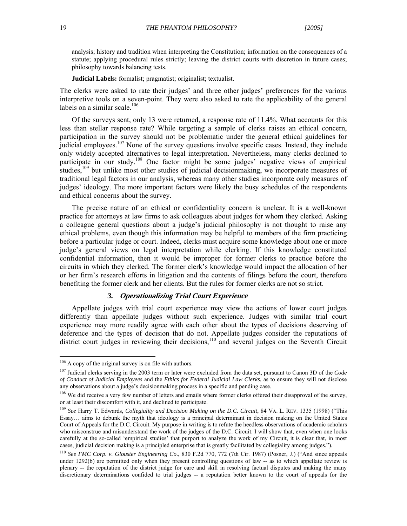analysis; history and tradition when interpreting the Constitution; information on the consequences of a statute; applying procedural rules strictly; leaving the district courts with discretion in future cases; philosophy towards balancing tests.

**Judicial Labels:** formalist; pragmatist; originalist; textualist.

The clerks were asked to rate their judges' and three other judges' preferences for the various interpretive tools on a seven-point. They were also asked to rate the applicability of the general labels on a similar scale.<sup>106</sup>

Of the surveys sent, only 13 were returned, a response rate of 11.4%. What accounts for this less than stellar response rate? While targeting a sample of clerks raises an ethical concern, participation in the survey should not be problematic under the general ethical guidelines for judicial employees.<sup>107</sup> None of the survey questions involve specific cases. Instead, they include only widely accepted alternatives to legal interpretation. Nevertheless, many clerks declined to participate in our study.108 One factor might be some judges' negative views of empirical studies,<sup>109</sup> but unlike most other studies of judicial decision making, we incorporate measures of traditional legal factors in our analysis, whereas many other studies incorporate only measures of judges' ideology. The more important factors were likely the busy schedules of the respondents and ethical concerns about the survey.

The precise nature of an ethical or confidentiality concern is unclear. It is a well-known practice for attorneys at law firms to ask colleagues about judges for whom they clerked. Asking a colleague general questions about a judge's judicial philosophy is not thought to raise any ethical problems, even though this information may be helpful to members of the firm practicing before a particular judge or court. Indeed, clerks must acquire some knowledge about one or more judge's general views on legal interpretation while clerking. If this knowledge constituted confidential information, then it would be improper for former clerks to practice before the circuits in which they clerked. The former clerk's knowledge would impact the allocation of her or her firm's research efforts in litigation and the contents of filings before the court, therefore benefiting the former clerk and her clients. But the rules for former clerks are not so strict.

#### *3.* **Operationalizing Trial Court Experience**

Appellate judges with trial court experience may view the actions of lower court judges differently than appellate judges without such experience. Judges with similar trial court experience may more readily agree with each other about the types of decisions deserving of deference and the types of decision that do not. Appellate judges consider the reputations of district court judges in reviewing their decisions,<sup>110</sup> and several judges on the Seventh Circuit

 $106$  A copy of the original survey is on file with authors.

<sup>107</sup> Judicial clerks serving in the 2003 term or later were excluded from the data set, pursuant to Canon 3D of the *Code of Conduct of Judicial Employees* and the *Ethics for Federal Judicial Law Clerks*, as to ensure they will not disclose any observations about a judge's decisionmaking process in a specific and pending case.

<sup>&</sup>lt;sup>108</sup> We did receive a very few number of letters and emails where former clerks offered their disapproval of the survey, or at least their discomfort with it, and declined to participate.

<sup>&</sup>lt;sup>109</sup> See Harry T. Edwards, *Collegiality and Decision Making on the D.C. Circuit*, 84 VA. L. REV. 1335 (1998) ("This Essay… aims to debunk the myth that ideology is a principal determinant in decision making on the United States Court of Appeals for the D.C. Circuit. My purpose in writing is to refute the heedless observations of academic scholars who misconstrue and misunderstand the work of the judges of the D.C. Circuit. I will show that, even when one looks carefully at the so-called 'empirical studies' that purport to analyze the work of my Circuit, it is clear that, in most cases, judicial decision making is a principled enterprise that is greatly facilitated by collegiality among judges.").

<sup>110</sup> *See FMC Corp. v. Glouster Engineering Co*., 830 F.2d 770, 772 (7th Cir. 1987) (Posner, J.) ("And since appeals under 1292(b) are permitted only when they present controlling questions of law -- as to which appellate review is plenary -- the reputation of the district judge for care and skill in resolving factual disputes and making the many discretionary determinations confided to trial judges -- a reputation better known to the court of appeals for the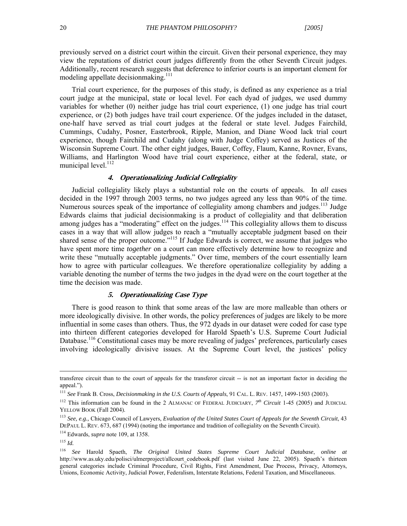previously served on a district court within the circuit. Given their personal experience, they may view the reputations of district court judges differently from the other Seventh Circuit judges. Additionally, recent research suggests that deference to inferior courts is an important element for modeling appellate decisionmaking.<sup>111</sup>

 Trial court experience, for the purposes of this study, is defined as any experience as a trial court judge at the municipal, state or local level. For each dyad of judges, we used dummy variables for whether (0) neither judge has trial court experience, (1) one judge has trial court experience, or (2) both judges have trail court experience. Of the judges included in the dataset, one-half have served as trial court judges at the federal or state level. Judges Fairchild, Cummings, Cudahy, Posner, Easterbrook, Ripple, Manion, and Diane Wood lack trial court experience, though Fairchild and Cudahy (along with Judge Coffey) served as Justices of the Wisconsin Supreme Court. The other eight judges, Bauer, Coffey, Flaum, Kanne, Rovner, Evans, Williams, and Harlington Wood have trial court experience, either at the federal, state, or municipal level.<sup>112</sup>

#### **4. Operationalizing Judicial Collegiality**

Judicial collegiality likely plays a substantial role on the courts of appeals. In *all* cases decided in the 1997 through 2003 terms, no two judges agreed any less than 90% of the time. Numerous sources speak of the importance of collegiality among chambers and judges.<sup>113</sup> Judge Edwards claims that judicial decisionmaking is a product of collegiality and that deliberation among judges has a "moderating" effect on the judges.<sup>114</sup> This collegiality allows them to discuss cases in a way that will allow judges to reach a "mutually acceptable judgment based on their shared sense of the proper outcome."<sup>115</sup> If Judge Edwards is correct, we assume that judges who have spent more time *together* on a court can more effectively determine how to recognize and write these "mutually acceptable judgments." Over time, members of the court essentially learn how to agree with particular colleagues. We therefore operationalize collegiality by adding a variable denoting the number of terms the two judges in the dyad were on the court together at the time the decision was made.

#### **5. Operationalizing Case Type**

There is good reason to think that some areas of the law are more malleable than others or more ideologically divisive. In other words, the policy preferences of judges are likely to be more influential in some cases than others. Thus, the 972 dyads in our dataset were coded for case type into thirteen different categories developed for Harold Spaeth's U.S. Supreme Court Judicial Database.<sup>116</sup> Constitutional cases may be more revealing of judges' preferences, particularly cases involving ideologically divisive issues. At the Supreme Court level, the justices' policy

transferee circuit than to the court of appeals for the transferor circuit -- is not an important factor in deciding the appeal.").

<sup>111</sup> *See* Frank B. Cross, *Decisionmaking in the U.S. Courts of Appeals*, 91 CAL. L. REV. 1457, 1499-1503 (2003).

<sup>&</sup>lt;sup>112</sup> This information can be found in the 2 ALMANAC OF FEDERAL JUDICIARY,  $7<sup>th</sup> Circuit$  1-45 (2005) and JUDICIAL YELLOW BOOK (Fall 2004).

<sup>113</sup> *See, e.g.,* Chicago Council of Lawyers, *Evaluation of the United States Court of Appeals for the Seventh Circuit*, 43 DEPAUL L. REV. 673, 687 (1994) (noting the importance and tradition of collegiality on the Seventh Circuit).

<sup>114</sup> Edwards, *supra* note 109, at 1358.

 $^{115}$  *Id.* 

<sup>116</sup> *See* Harold Spaeth, *The Original United States Supreme Court Judicial Database*, *online at* http://www.as.uky.edu/polisci/ulmerproject/allcourt\_codebook.pdf (last visited June 22, 2005). Spaeth's thirteen general categories include Criminal Procedure, Civil Rights, First Amendment, Due Process, Privacy, Attorneys, Unions, Economic Activity, Judicial Power, Federalism, Interstate Relations, Federal Taxation, and Miscellaneous.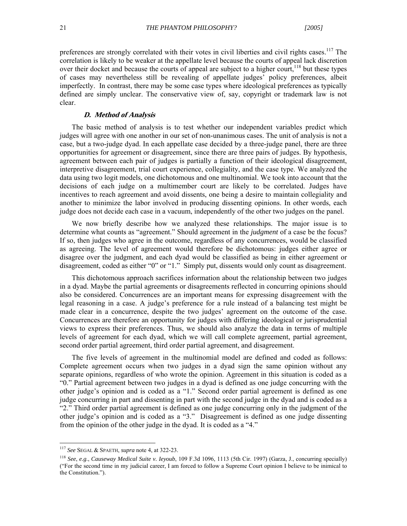preferences are strongly correlated with their votes in civil liberties and civil rights cases.<sup>117</sup> The correlation is likely to be weaker at the appellate level because the courts of appeal lack discretion over their docket and because the courts of appeal are subject to a higher court.<sup>118</sup> but these types of cases may nevertheless still be revealing of appellate judges' policy preferences, albeit imperfectly. In contrast, there may be some case types where ideological preferences as typically defined are simply unclear. The conservative view of, say, copyright or trademark law is not clear.

#### **D. Method of Analysis**

The basic method of analysis is to test whether our independent variables predict which judges will agree with one another in our set of non-unanimous cases. The unit of analysis is not a case, but a two-judge dyad. In each appellate case decided by a three-judge panel, there are three opportunities for agreement or disagreement, since there are three pairs of judges. By hypothesis, agreement between each pair of judges is partially a function of their ideological disagreement, interpretive disagreement, trial court experience, collegiality, and the case type. We analyzed the data using two logit models, one dichotomous and one multinomial. We took into account that the decisions of each judge on a multimember court are likely to be correlated. Judges have incentives to reach agreement and avoid dissents, one being a desire to maintain collegiality and another to minimize the labor involved in producing dissenting opinions. In other words, each judge does not decide each case in a vacuum, independently of the other two judges on the panel.

We now briefly describe how we analyzed these relationships. The major issue is to determine what counts as "agreement." Should agreement in the *judgment* of a case be the focus? If so, then judges who agree in the outcome, regardless of any concurrences, would be classified as agreeing. The level of agreement would therefore be dichotomous: judges either agree or disagree over the judgment, and each dyad would be classified as being in either agreement or disagreement, coded as either "0" or "1." Simply put, dissents would only count as disagreement.

This dichotomous approach sacrifices information about the relationship between two judges in a dyad. Maybe the partial agreements or disagreements reflected in concurring opinions should also be considered. Concurrences are an important means for expressing disagreement with the legal reasoning in a case. A judge's preference for a rule instead of a balancing test might be made clear in a concurrence, despite the two judges' agreement on the outcome of the case. Concurrences are therefore an opportunity for judges with differing ideological or jurisprudential views to express their preferences. Thus, we should also analyze the data in terms of multiple levels of agreement for each dyad, which we will call complete agreement, partial agreement, second order partial agreement, third order partial agreement, and disagreement.

The five levels of agreement in the multinomial model are defined and coded as follows: Complete agreement occurs when two judges in a dyad sign the same opinion without any separate opinions, regardless of who wrote the opinion. Agreement in this situation is coded as a "0." Partial agreement between two judges in a dyad is defined as one judge concurring with the other judge's opinion and is coded as a "1." Second order partial agreement is defined as one judge concurring in part and dissenting in part with the second judge in the dyad and is coded as a "2." Third order partial agreement is defined as one judge concurring only in the judgment of the other judge's opinion and is coded as a "3." Disagreement is defined as one judge dissenting from the opinion of the other judge in the dyad. It is coded as a "4."

<sup>117</sup> *See* SEGAL & SPAETH, *supra* note 4, at 322-23.

<sup>118</sup> *See*, *e.g*., *Causeway Medical Suite v. Ieyoub*, 109 F.3d 1096, 1113 (5th Cir. 1997) (Garza, J., concurring specially) ("For the second time in my judicial career, I am forced to follow a Supreme Court opinion I believe to be inimical to the Constitution.").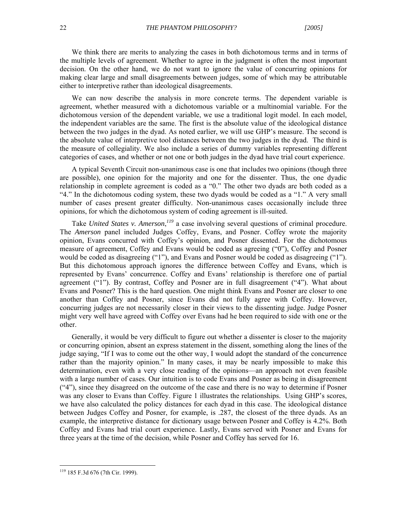We think there are merits to analyzing the cases in both dichotomous terms and in terms of the multiple levels of agreement. Whether to agree in the judgment is often the most important decision. On the other hand, we do not want to ignore the value of concurring opinions for making clear large and small disagreements between judges, some of which may be attributable either to interpretive rather than ideological disagreements.

We can now describe the analysis in more concrete terms. The dependent variable is agreement, whether measured with a dichotomous variable or a multinomial variable. For the dichotomous version of the dependent variable, we use a traditional logit model. In each model, the independent variables are the same. The first is the absolute value of the ideological distance between the two judges in the dyad. As noted earlier, we will use GHP's measure. The second is the absolute value of interpretive tool distances between the two judges in the dyad. The third is the measure of collegiality. We also include a series of dummy variables representing different categories of cases, and whether or not one or both judges in the dyad have trial court experience.

A typical Seventh Circuit non-unanimous case is one that includes two opinions (though three are possible), one opinion for the majority and one for the dissenter. Thus, the one dyadic relationship in complete agreement is coded as a "0." The other two dyads are both coded as a "4." In the dichotomous coding system, these two dyads would be coded as a "1." A very small number of cases present greater difficulty. Non-unanimous cases occasionally include three opinions, for which the dichotomous system of coding agreement is ill-suited.

Take *United States v. Amerson*,<sup>119</sup> a case involving several questions of criminal procedure. The *Amerson* panel included Judges Coffey, Evans, and Posner. Coffey wrote the majority opinion, Evans concurred with Coffey's opinion, and Posner dissented. For the dichotomous measure of agreement, Coffey and Evans would be coded as agreeing ("0"), Coffey and Posner would be coded as disagreeing ("1"), and Evans and Posner would be coded as disagreeing ("1"). But this dichotomous approach ignores the difference between Coffey and Evans, which is represented by Evans' concurrence. Coffey and Evans' relationship is therefore one of partial agreement ("1"). By contrast, Coffey and Posner are in full disagreement ("4"). What about Evans and Posner? This is the hard question. One might think Evans and Posner are closer to one another than Coffey and Posner, since Evans did not fully agree with Coffey. However, concurring judges are not necessarily closer in their views to the dissenting judge. Judge Posner might very well have agreed with Coffey over Evans had he been required to side with one or the other.

Generally, it would be very difficult to figure out whether a dissenter is closer to the majority or concurring opinion, absent an express statement in the dissent, something along the lines of the judge saying, "If I was to come out the other way, I would adopt the standard of the concurrence rather than the majority opinion." In many cases, it may be nearly impossible to make this determination, even with a very close reading of the opinions—an approach not even feasible with a large number of cases. Our intuition is to code Evans and Posner as being in disagreement ("4"), since they disagreed on the outcome of the case and there is no way to determine if Posner was any closer to Evans than Coffey. Figure 1 illustrates the relationships. Using GHP's scores, we have also calculated the policy distances for each dyad in this case. The ideological distance between Judges Coffey and Posner, for example, is .287, the closest of the three dyads. As an example, the interpretive distance for dictionary usage between Posner and Coffey is 4.2%. Both Coffey and Evans had trial court experience. Lastly, Evans served with Posner and Evans for three years at the time of the decision, while Posner and Coffey has served for 16.

<sup>119 185</sup> F.3d 676 (7th Cir. 1999).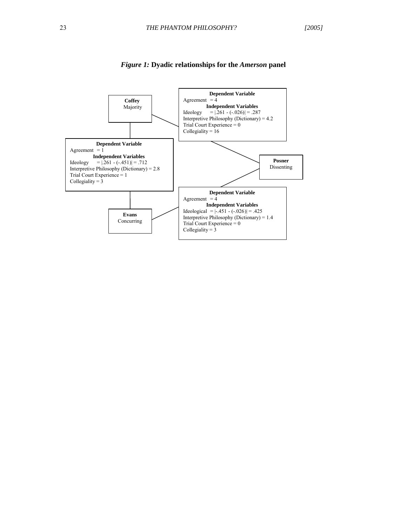

#### *Figure 1:* **Dyadic relationships for the** *Amerson* **panel**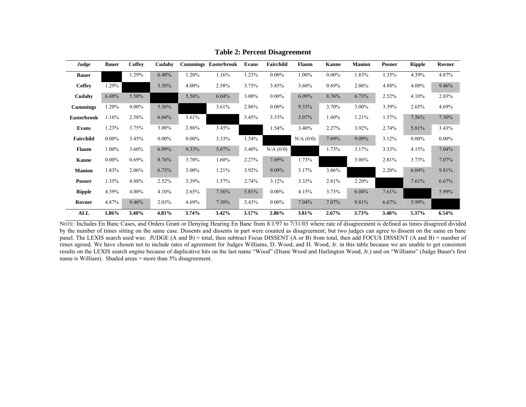| Judge              | <b>Bauer</b> | Coffey   | Cudahy   | <b>Cummings</b> | Easterbrook | Evans | Fairchild | <b>Flaum</b> | <b>Kanne</b> | <b>Manion</b> | <b>Posner</b> | <b>Ripple</b> | Rovner   |
|--------------------|--------------|----------|----------|-----------------|-------------|-------|-----------|--------------|--------------|---------------|---------------|---------------|----------|
| <b>Bauer</b>       |              | 1.29%    | 6.48%    | 1.20%           | 1.16%       | 1.23% | $0.00\%$  | 1.00%        | $0.00\%$     | 1.83%         | 1.35%         | 4.39%         | 4.87%    |
| Coffey             | 1.29%        |          | 5.50%    | 4.00%           | 2.58%       | 3.75% | 3.45%     | 3.60%        | 0.69%        | 2.06%         | 4.88%         | 4.00%         | 9.46%    |
| Cudahy             | 6.48%        | 5.50%    |          | 5.56%           | 6.04%       | 3.00% | $0.00\%$  | 6.09%        | 8.76%        | 6.73%         | 2.52%         | 4.10%         | 2.03%    |
| <b>Cummings</b>    | 1.20%        | 4.00%    | 5.56%    |                 | 3.61%       | 2.86% | $0.00\%$  | 9.33%        | 3.70%        | 3.00%         | 3.39%         | 2.65%         | 4.69%    |
| <b>Easterbrook</b> | 1.16%        | 2.58%    | 6.04%    | 3.61%           |             | 3.45% | 3.33%     | 5.07%        | 1.60%        | 1.21%         | 1.57%         | 7.56%         | 7.30%    |
| Evans              | 1.23%        | 3.75%    | 3.00%    | 2.86%           | 3.45%       |       | 1.54%     | 3.40%        | 2.27%        | 3.92%         | 2.74%         | 5.81%         | 3.43%    |
| Fairchild          | $0.00\%$     | 3.45%    | $0.00\%$ | $0.00\%$        | 3.33%       | 1.54% |           | N/A (0/0)    | 7.69%        | 9.09%         | 3.12%         | $0.00\%$      | $0.00\%$ |
| <b>Flaum</b>       | $1.00\%$     | 3.60%    | 6.09%    | 9.33%           | 5.07%       | 3.40% | N/A (0/0) |              | 1.73%        | 3.17%         | 3.33%         | 4.15%         | 7.04%    |
| <b>Kanne</b>       | $0.00\%$     | 0.69%    | 8.76%    | 3.70%           | 1.60%       | 2.27% | 7.69%     | 1.73%        |              | 3.06%         | 2.81%         | 3.73%         | 7.07%    |
| <b>Manion</b>      | 1.83%        | 2.06%    | 6.73%    | 3.00%           | 1.21%       | 3.92% | 9.09%     | 3.17%        | 3.06%        |               | 2.20%         | 6.04%         | 9.81%    |
| <b>Posner</b>      | 1.35%        | 4.88%    | 2.52%    | 3.39%           | 1.57%       | 2.74% | 3.12%     | 3.33%        | 2.81%        | 2.20%         |               | 7.61%         | 6.67%    |
| <b>Ripple</b>      | 4.39%        | $4.00\%$ | 4.10%    | 2.65%           | 7.56%       | 5.81% | $0.00\%$  | 4.15%        | 3.73%        | 6.04%         | 7.61%         |               | 5.99%    |
| Rovner             | 4.87%        | 9.46%    | 2.03%    | 4.69%           | 7.30%       | 3.43% | $0.00\%$  | 7.04%        | 7.07%        | 9.81%         | 6.67%         | 5.99%         |          |
| <b>ALL</b>         | 1.86%        | $3.40\%$ | 4.81%    | 3.74%           | 3.42%       | 3.17% | 2.86%     | 3.81%        | 2.67%        | 3.73%         | 3.48%         | 5.37%         | 6.54%    |

**Table 2: Percent Disagreement** 

NOTE: Includes En Banc Cases, and Orders Grant or Denying Hearing En Banc from 8/1/97 to 7/31/03 where rate of disagreement is defined as times disagreed divided by the number of times sitting on the same case. Dissents and dissents in part were counted as disagreement, but two judges can agree to dissent on the same en banc panel. The LEXIS search used was: JUDGE (A and B) = total, then subtract Focus DISSENT (A or B) from total, then add FOCUS DISSENT (A and B) = number of times agreed. We have chosen not to include rates of agreement for Judges Williams, D. Wood, and H. Wood, Jr. in this table because we are unable to get consistent results on the LEXIS search engine because of duplicative hits on the last name "Wood" (Diane Wood and Harlington Wood, Jr.) and on "Williams" (Judge Bauer's first name is William). Shaded areas = more than 5% disagreement.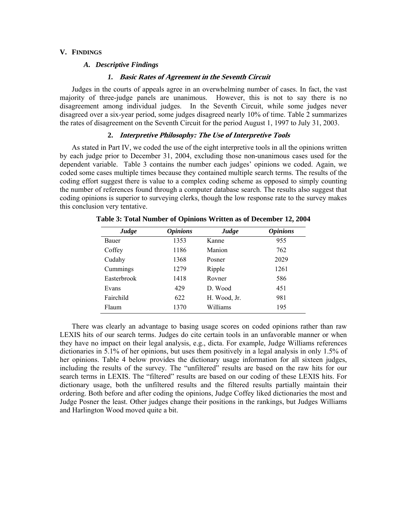#### **V. FINDINGS**

#### *A. Descriptive Findings*

#### *1.* **Basic Rates of Agreement in the Seventh Circuit**

 Judges in the courts of appeals agree in an overwhelming number of cases. In fact, the vast majority of three-judge panels are unanimous. However, this is not to say there is no disagreement among individual judges. In the Seventh Circuit, while some judges never disagreed over a six-year period, some judges disagreed nearly 10% of time. Table 2 summarizes the rates of disagreement on the Seventh Circuit for the period August 1, 1997 to July 31, 2003.

#### **2. Interpretive Philosophy: The Use of Interpretive Tools**

As stated in Part IV, we coded the use of the eight interpretive tools in all the opinions written by each judge prior to December 31, 2004, excluding those non-unanimous cases used for the dependent variable. Table 3 contains the number each judges' opinions we coded. Again, we coded some cases multiple times because they contained multiple search terms. The results of the coding effort suggest there is value to a complex coding scheme as opposed to simply counting the number of references found through a computer database search. The results also suggest that coding opinions is superior to surveying clerks, though the low response rate to the survey makes this conclusion very tentative.

| Judge        | <i><b>Opinions</b></i> | Judge        | <i><b>Opinions</b></i> |
|--------------|------------------------|--------------|------------------------|
| <b>Bauer</b> | 1353                   | Kanne        | 955                    |
| Coffey       | 1186                   | Manion       | 762                    |
| Cudahy       | 1368                   | Posner       | 2029                   |
| Cummings     | 1279                   | Ripple       | 1261                   |
| Easterbrook  | 1418                   | Royner       | 586                    |
| Evans        | 429                    | D. Wood      | 451                    |
| Fairchild    | 622                    | H. Wood, Jr. | 981                    |
| Flaum        | 1370                   | Williams     | 195                    |

**Table 3: Total Number of Opinions Written as of December 12, 2004** 

There was clearly an advantage to basing usage scores on coded opinions rather than raw LEXIS hits of our search terms. Judges do cite certain tools in an unfavorable manner or when they have no impact on their legal analysis, e.g., dicta. For example, Judge Williams references dictionaries in 5.1% of her opinions, but uses them positively in a legal analysis in only 1.5% of her opinions. Table 4 below provides the dictionary usage information for all sixteen judges, including the results of the survey. The "unfiltered" results are based on the raw hits for our search terms in LEXIS. The "filtered" results are based on our coding of these LEXIS hits. For dictionary usage, both the unfiltered results and the filtered results partially maintain their ordering. Both before and after coding the opinions, Judge Coffey liked dictionaries the most and Judge Posner the least. Other judges change their positions in the rankings, but Judges Williams and Harlington Wood moved quite a bit.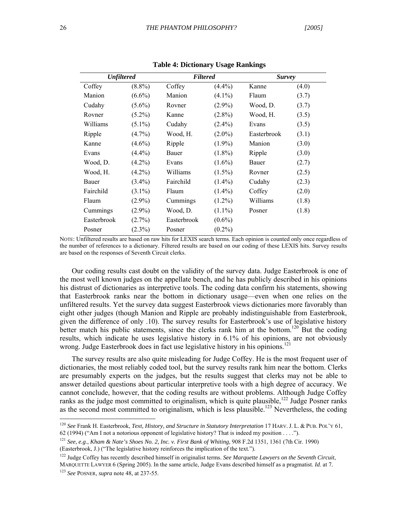| <b>Unfiltered</b> |           | <b>Filtered</b> |           | <b>Survey</b> |       |  |
|-------------------|-----------|-----------------|-----------|---------------|-------|--|
| Coffey            | $(8.8\%)$ | Coffey          | $(4.4\%)$ | Kanne         | (4.0) |  |
| Manion            | $(6.6\%)$ | Manion          | $(4.1\%)$ | Flaum         | (3.7) |  |
| Cudahy            | $(5.6\%)$ | Rovner          | $(2.9\%)$ | Wood, D.      | (3.7) |  |
| Rovner            | $(5.2\%)$ | Kanne           | $(2.8\%)$ | Wood, H.      | (3.5) |  |
| Williams          | $(5.1\%)$ | Cudahy          | $(2.4\%)$ | Evans         | (3.5) |  |
| Ripple            | $(4.7\%)$ | Wood, H.        | $(2.0\%)$ | Easterbrook   | (3.1) |  |
| Kanne             | $(4.6\%)$ | Ripple          | $(1.9\%)$ | Manion        | (3.0) |  |
| Evans             | $(4.4\%)$ | Bauer           | $(1.8\%)$ | Ripple        | (3.0) |  |
| Wood, D.          | $(4.2\%)$ | Evans           | $(1.6\%)$ | Bauer         | (2.7) |  |
| Wood, H.          | $(4.2\%)$ | Williams        | $(1.5\%)$ | Rovner        | (2.5) |  |
| Bauer             | $(3.4\%)$ | Fairchild       | $(1.4\%)$ | Cudahy        | (2.3) |  |
| Fairchild         | $(3.1\%)$ | Flaum           | $(1.4\%)$ | Coffey        | (2.0) |  |
| Flaum             | $(2.9\%)$ | Cummings        | $(1.2\%)$ | Williams      | (1.8) |  |
| Cummings          | $(2.9\%)$ | Wood, D.        | $(1.1\%)$ | Posner        | (1.8) |  |
| Easterbrook       | $(2.7\%)$ | Easterbrook     | $(0.6\%)$ |               |       |  |
| Posner            | $(2.3\%)$ | Posner          | $(0.2\%)$ |               |       |  |

**Table 4: Dictionary Usage Rankings** 

NOTE: Unfiltered results are based on raw hits for LEXIS search terms. Each opinion is counted only once regardless of the number of references to a dictionary. Filtered results are based on our coding of these LEXIS hits. Survey results are based on the responses of Seventh Circuit clerks.

Our coding results cast doubt on the validity of the survey data. Judge Easterbrook is one of the most well known judges on the appellate bench, and he has publicly described in his opinions his distrust of dictionaries as interpretive tools. The coding data confirm his statements, showing that Easterbrook ranks near the bottom in dictionary usage—even when one relies on the unfiltered results. Yet the survey data suggest Easterbrook views dictionaries more favorably than eight other judges (though Manion and Ripple are probably indistinguishable from Easterbrook, given the difference of only .10). The survey results for Easterbrook's use of legislative history better match his public statements, since the clerks rank him at the bottom.<sup>120</sup> But the coding results, which indicate he uses legislative history in 6.1% of his opinions, are not obviously wrong. Judge Easterbrook does in fact use legislative history in his opinions.<sup>121</sup>

The survey results are also quite misleading for Judge Coffey. He is the most frequent user of dictionaries, the most reliably coded tool, but the survey results rank him near the bottom. Clerks are presumably experts on the judges, but the results suggest that clerks may not be able to answer detailed questions about particular interpretive tools with a high degree of accuracy. We cannot conclude, however, that the coding results are without problems. Although Judge Coffey ranks as the judge most committed to originalism, which is quite plausible,<sup>122</sup> Judge Posner ranks as the second most committed to originalism, which is less plausible.<sup>123</sup> Nevertheless, the coding

<sup>120</sup> *See* Frank H. Easterbrook, *Text, History, and Structure in Statutory Interpretation* 17 HARV. J. L. & PUB. POL'Y 61, 62 (1994) ("Am I not a notorious opponent of legislative history? That is indeed my position . . . .").

<sup>121</sup> *See*, *e.g*., *Kham & Nate's Shoes No. 2, Inc. v. First Bank of Whiting*, 908 F.2d 1351, 1361 (7th Cir. 1990) (Easterbrook, J.) ("The legislative history reinforces the implication of the text.").

<sup>&</sup>lt;sup>122</sup> Judge Coffey has recently described himself in originalist terms. *See Marquette Lawyers on the Seventh Circuit*, MARQUETTE LAWYER 6 (Spring 2005). In the same article, Judge Evans described himself as a pragmatist. *Id*. at 7.

<sup>123</sup> *See* POSNER, *supra* note 48, at 237-55.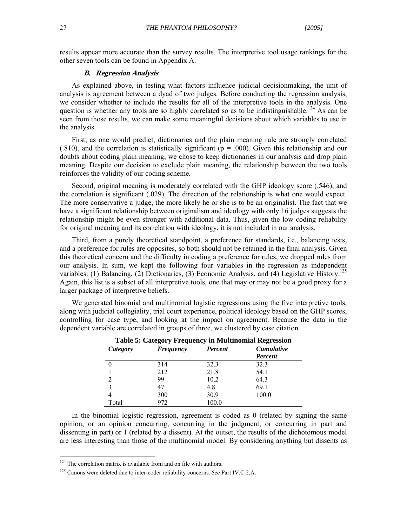results appear more accurate than the survey results. The interpretive tool usage rankings for the other seven tools can be found in Appendix A.

#### **B. Regression Analysis**

As explained above, in testing what factors influence judicial decisionmaking, the unit of analysis is agreement between a dyad of two judges. Before conducting the regression analysis, we consider whether to include the results for all of the interpretive tools in the analysis. One question is whether any tools are so highly correlated so as to be indistinguishable.<sup>124</sup> As can be seen from those results, we can make some meaningful decisions about which variables to use in the analysis.

First, as one would predict, dictionaries and the plain meaning rule are strongly correlated  $(.810)$ , and the correlation is statistically significant ( $p = .000$ ). Given this relationship and our doubts about coding plain meaning, we chose to keep dictionaries in our analysis and drop plain meaning. Despite our decision to exclude plain meaning, the relationship between the two tools reinforces the validity of our coding scheme.

Second, original meaning is moderately correlated with the GHP ideology score (.546), and the correlation is significant (.029). The direction of the relationship is what one would expect. The more conservative a judge, the more likely he or she is to be an originalist. The fact that we have a significant relationship between originalism and ideology with only 16 judges suggests the relationship might be even stronger with additional data. Thus, given the low coding reliability for original meaning and its correlation with ideology, it is not included in our analysis.

Third, from a purely theoretical standpoint, a preference for standards, i.e., balancing tests, and a preference for rules are opposites, so both should not be retained in the final analysis. Given this theoretical concern and the difficulty in coding a preference for rules, we dropped rules from our analysis. In sum, we kept the following four variables in the regression as independent variables: (1) Balancing, (2) Dictionaries, (3) Economic Analysis, and (4) Legislative History.<sup>125</sup> Again, this list is a subset of all interpretive tools, one that may or may not be a good proxy for a larger package of interpretive beliefs.

We generated binomial and multinomial logistic regressions using the five interpretive tools, along with judicial collegiality, trial court experience, political ideology based on the GHP scores, controlling for case type, and looking at the impact on agreement. Because the data in the dependent variable are correlated in groups of three, we clustered by case citation.

| <b>Table 5: Category Frequency in Multinomial Regression</b> |                  |         |                   |  |  |  |  |
|--------------------------------------------------------------|------------------|---------|-------------------|--|--|--|--|
| Category                                                     | <b>Frequency</b> | Percent | <b>Cumulative</b> |  |  |  |  |
|                                                              |                  |         | Percent           |  |  |  |  |
|                                                              | 314              | 32.3    | 32.3              |  |  |  |  |
|                                                              | 212              | 21.8    | 54.1              |  |  |  |  |
|                                                              | 99               | 10.2    | 64.3              |  |  |  |  |
|                                                              | 47               | 4.8     | 69.1              |  |  |  |  |
|                                                              | 300              | 30.9    | 100.0             |  |  |  |  |
| Total                                                        | 972              | 100.0   |                   |  |  |  |  |

In the binomial logistic regression, agreement is coded as 0 (related by signing the same opinion, or an opinion concurring, concurring in the judgment, or concurring in part and dissenting in part) or 1 (related by a dissent). At the outset, the results of the dichotomous model are less interesting than those of the multinomial model. By considering anything but dissents as

 $124$  The correlation matrix is available from and on file with authors.

<sup>125</sup> Canons were deleted due to inter-coder reliability concerns. *See* Part IV.C.2.A.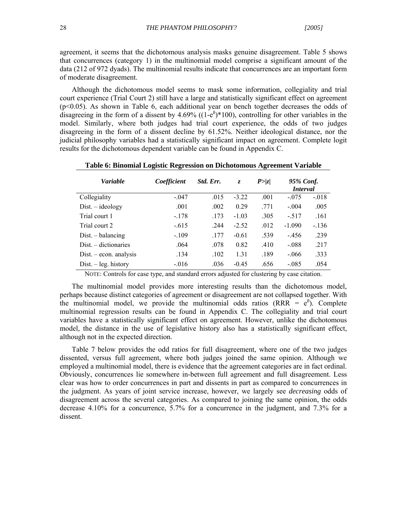agreement, it seems that the dichotomous analysis masks genuine disagreement. Table 5 shows that concurrences (category 1) in the multinomial model comprise a significant amount of the data (212 of 972 dyads). The multinomial results indicate that concurrences are an important form of moderate disagreement.

Although the dichotomous model seems to mask some information, collegiality and trial court experience (Trial Court 2) still have a large and statistically significant effect on agreement (p<0.05). As shown in Table 6, each additional year on bench together decreases the odds of disagreeing in the form of a dissent by 4.69% ( $(1-e^{B})*100$ ), controlling for other variables in the model. Similarly, where both judges had trial court experience, the odds of two judges disagreeing in the form of a dissent decline by 61.52%. Neither ideological distance, nor the judicial philosophy variables had a statistically significant impact on agreement. Complete logit results for the dichotomous dependent variable can be found in Appendix C.

| <b>Variable</b>          | Coefficient | Std. Err. | Z.      | P >  z | 95% Conf.<br><i>Interval</i> |         |
|--------------------------|-------------|-----------|---------|--------|------------------------------|---------|
| Collegiality             | $-.047$     | .015      | $-3.22$ | .001   | $-.075$                      | $-.018$ |
| $Dist. - ideology$       | .001        | .002      | 0.29    | .771   | $-.004$                      | .005    |
| Trial court 1            | $-.178$     | .173      | $-1.03$ | .305   | $-.517$                      | .161    |
| Trial court 2            | $-.615$     | .244      | $-2.52$ | .012   | $-1.090$                     | $-136$  |
| $Dist. - balancing$      | $-.109$     | .177      | $-0.61$ | .539   | $-456$                       | .239    |
| $Dist. - dictionaries$   | .064        | .078      | 0.82    | .410   | $-.088$                      | .217    |
| $Dist. - econ.$ analysis | .134        | .102      | 1.31    | .189   | $-.066$                      | .333    |
| $Dist. - leg. history$   | $-0.016$    | .036      | $-0.45$ | .656   | $-.085$                      | .054    |

#### **Table 6: Binomial Logistic Regression on Dichotomous Agreement Variable**

NOTE: Controls for case type, and standard errors adjusted for clustering by case citation.

The multinomial model provides more interesting results than the dichotomous model, perhaps because distinct categories of agreement or disagreement are not collapsed together. With the multinomial model, we provide the multinomial odds ratios ( $RRR = e^{\beta}$ ). Complete multinomial regression results can be found in Appendix C. The collegiality and trial court variables have a statistically significant effect on agreement. However, unlike the dichotomous model, the distance in the use of legislative history also has a statistically significant effect, although not in the expected direction.

Table 7 below provides the odd ratios for full disagreement, where one of the two judges dissented, versus full agreement, where both judges joined the same opinion. Although we employed a multinomial model, there is evidence that the agreement categories are in fact ordinal. Obviously, concurrences lie somewhere in-between full agreement and full disagreement. Less clear was how to order concurrences in part and dissents in part as compared to concurrences in the judgment. As years of joint service increase, however, we largely see *decreasing* odds of disagreement across the several categories. As compared to joining the same opinion, the odds decrease 4.10% for a concurrence, 5.7% for a concurrence in the judgment, and 7.3% for a dissent.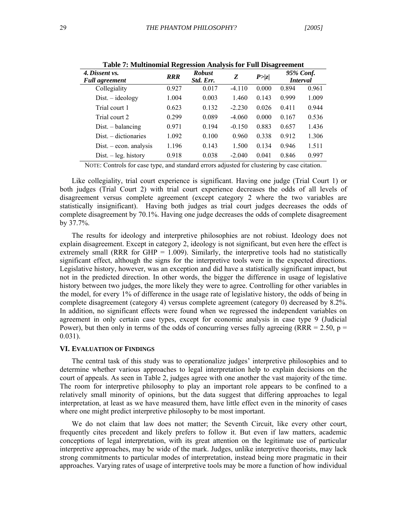| 4. Dissent vs.<br><b>Full agreement</b> | <b>RRR</b> | <b>Robust</b><br>Std. Err. | Z        | P >  z | 95% Conf.<br><b>Interval</b> |       |
|-----------------------------------------|------------|----------------------------|----------|--------|------------------------------|-------|
| Collegiality                            | 0.927      | 0.017                      | $-4.110$ | 0.000  | 0.894                        | 0.961 |
| $Dist. - ideology$                      | 1.004      | 0.003                      | 1.460    | 0.143  | 0.999                        | 1.009 |
| Trial court 1                           | 0.623      | 0.132                      | $-2.230$ | 0.026  | 0.411                        | 0.944 |
| Trial court 2                           | 0.299      | 0.089                      | $-4.060$ | 0.000  | 0.167                        | 0.536 |
| $Dist. - balancing$                     | 0.971      | 0.194                      | $-0.150$ | 0.883  | 0.657                        | 1.436 |
| $Dist. - dictionaries$                  | 1.092      | 0.100                      | 0.960    | 0.338  | 0.912                        | 1.306 |
| $Dist. - econ.$ analysis                | 1.196      | 0.143                      | 1.500    | 0.134  | 0.946                        | 1.511 |
| $Dist. - leg. history$                  | 0.918      | 0.038                      | $-2.040$ | 0.041  | 0.846                        | 0.997 |

**Table 7: Multinomial Regression Analysis for Full Disagreement** 

NOTE: Controls for case type, and standard errors adjusted for clustering by case citation.

Like collegiality, trial court experience is significant. Having one judge (Trial Court 1) or both judges (Trial Court 2) with trial court experience decreases the odds of all levels of disagreement versus complete agreement (except category 2 where the two variables are statistically insignificant). Having both judges as trial court judges decreases the odds of complete disagreement by 70.1%. Having one judge decreases the odds of complete disagreement by 37.7%.

The results for ideology and interpretive philosophies are not robiust. Ideology does not explain disagreement. Except in category 2, ideology is not significant, but even here the effect is extremely small (RRR for GHP =  $1.009$ ). Similarly, the interpretive tools had no statistically significant effect, although the signs for the interpretive tools were in the expected directions. Legislative history, however, was an exception and did have a statistically significant impact, but not in the predicted direction. In other words, the bigger the difference in usage of legislative history between two judges, the more likely they were to agree. Controlling for other variables in the model, for every 1% of difference in the usage rate of legislative history, the odds of being in complete disagreement (category 4) versus complete agreement (category 0) decreased by 8.2%. In addition, no significant effects were found when we regressed the independent variables on agreement in only certain case types, except for economic analysis in case type 9 (Judicial Power), but then only in terms of the odds of concurring verses fully agreeing (RRR = 2.50,  $p =$ 0.031).

#### **VI. EVALUATION OF FINDINGS**

The central task of this study was to operationalize judges' interpretive philosophies and to determine whether various approaches to legal interpretation help to explain decisions on the court of appeals. As seen in Table 2, judges agree with one another the vast majority of the time. The room for interpretive philosophy to play an important role appears to be confined to a relatively small minority of opinions, but the data suggest that differing approaches to legal interpretation, at least as we have measured them, have little effect even in the minority of cases where one might predict interpretive philosophy to be most important.

We do not claim that law does not matter; the Seventh Circuit, like every other court, frequently cites precedent and likely prefers to follow it. But even if law matters, academic conceptions of legal interpretation, with its great attention on the legitimate use of particular interpretive approaches, may be wide of the mark. Judges, unlike interpretive theorists, may lack strong commitments to particular modes of interpretation, instead being more pragmatic in their approaches. Varying rates of usage of interpretive tools may be more a function of how individual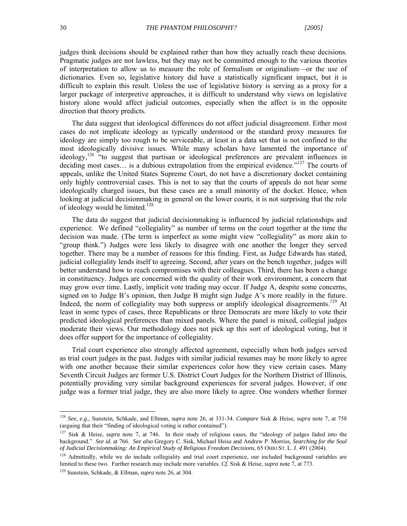judges think decisions should be explained rather than how they actually reach these decisions. Pragmatic judges are not lawless, but they may not be committed enough to the various theories of interpretation to allow us to measure the role of formalism or originalism—or the use of dictionaries. Even so, legislative history did have a statistically significant impact, but it is difficult to explain this result. Unless the use of legislative history is serving as a proxy for a larger package of interpretive approaches, it is difficult to understand why views on legislative history alone would affect judicial outcomes, especially when the affect is in the opposite direction that theory predicts.

The data suggest that ideological differences do not affect judicial disagreement. Either most cases do not implicate ideology as typically understood or the standard proxy measures for ideology are simply too rough to be serviceable, at least in a data set that is not confined to the most ideologically divisive issues. While many scholars have lamented the importance of ideology,<sup>126</sup> "to suggest that partisan or ideological preferences are prevalent influences in deciding most cases... is a dubious extrapolation from the empirical evidence."<sup>127</sup> The courts of appeals, unlike the United States Supreme Court, do not have a discretionary docket containing only highly controversial cases. This is not to say that the courts of appeals do not hear some ideologically charged issues, but these cases are a small minority of the docket. Hence, when looking at judicial decisionmaking in general on the lower courts, it is not surprising that the role of ideology would be limited.<sup>128</sup>

The data do suggest that judicial decisionmaking is influenced by judicial relationships and experience. We defined "collegiality" as number of terms on the court together at the time the decision was made. (The term is imperfect as some might view "collegiality" as more akin to "group think.") Judges were less likely to disagree with one another the longer they served together. There may be a number of reasons for this finding. First, as Judge Edwards has stated, judicial collegiality lends itself to agreeing. Second, after years on the bench together, judges will better understand how to reach compromises with their colleagues. Third, there has been a change in constituency. Judges are concerned with the quality of their work environment, a concern that may grow over time. Lastly, implicit vote trading may occur. If Judge A, despite some concerns, signed on to Judge B's opinion, then Judge B might sign Judge A's more readily in the future. Indeed, the norm of collegiality may both suppress or amplify ideological disagreements.<sup>129</sup> At least in some types of cases, three Republicans or three Democrats are more likely to vote their predicted ideological preferences than mixed panels. Where the panel is mixed, collegial judges moderate their views. Our methodology does not pick up this sort of ideological voting, but it does offer support for the importance of collegiality.

Trial court experience also strongly affected agreement, especially when both judges served as trial court judges in the past. Judges with similar judicial resumes may be more likely to agree with one another because their similar experiences color how they view certain cases. Many Seventh Circuit Judges are former U.S. District Court Judges for the Northern District of Illinois, potentially providing very similar background experiences for several judges. However, if one judge was a former trial judge, they are also more likely to agree. One wonders whether former

<sup>126</sup> *See, e.g.,* Sunstein, Schkade, and Ellman, *supra* note 26, at 331-34. *Compare* Sisk & Heise, *supra* note 7, at 758 (arguing that their "finding of ideological voting is rather contained").

<sup>127</sup> Sisk & Heise, *supra* note 7, at 746. In their study of religious cases, the "ideology of judges faded into the background." *See id.* at 766. *See also* Gregory C. Sisk, Michael Heise and Andrew P. Morriss, *Searching for the Soul of Judicial Decisionmaking: An Empirical Study of Religious Freedom Decisions*, 65 OHIO ST. L. J. 491 (2004).

<sup>&</sup>lt;sup>128</sup> Admittedly, while we do include collegiality and trial court experience, our included background variables are limited to these two. Further research may include more variables. *Cf.* Sisk & Heise, *supra* note 7, at 773.

<sup>129</sup> Sunstein, Schkade, & Ellman, *supra* note 26, at 304.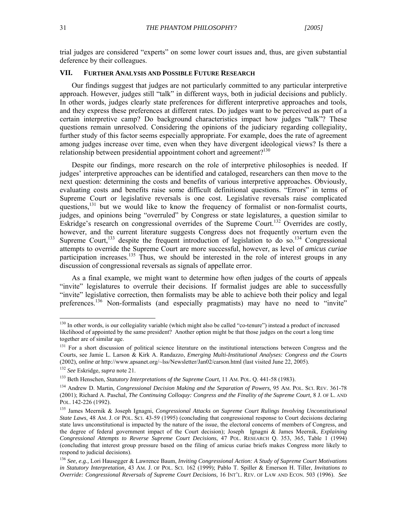trial judges are considered "experts" on some lower court issues and, thus, are given substantial deference by their colleagues.

#### **VII. FURTHER ANALYSIS AND POSSIBLE FUTURE RESEARCH**

Our findings suggest that judges are not particularly committed to any particular interpretive approach. However, judges still "talk" in different ways, both in judicial decisions and publicly. In other words, judges clearly state preferences for different interpretive approaches and tools, and they express these preferences at different rates. Do judges want to be perceived as part of a certain interpretive camp? Do background characteristics impact how judges "talk"? These questions remain unresolved. Considering the opinions of the judiciary regarding collegiality, further study of this factor seems especially appropriate. For example, does the rate of agreement among judges increase over time, even when they have divergent ideological views? Is there a relationship between presidential appointment cohort and agreement?<sup>130</sup>

 Despite our findings, more research on the role of interpretive philosophies is needed. If judges' interpretive approaches can be identified and cataloged, researchers can then move to the next question: determining the costs and benefits of various interpretive approaches. Obviously, evaluating costs and benefits raise some difficult definitional questions. "Errors" in terms of Supreme Court or legislative reversals is one cost. Legislative reversals raise complicated questions,<sup>131</sup> but we would like to know the frequency of formalist or non-formalist courts, judges, and opinions being "overruled" by Congress or state legislatures, a question similar to Eskridge's research on congressional overrides of the Supreme Court.<sup>132</sup> Overrides are costly, however, and the current literature suggests Congress does not frequently overturn even the Supreme Court,<sup>133</sup> despite the frequent introduction of legislation to do so.<sup>134</sup> Congressional attempts to override the Supreme Court are more successful, however, as level of *amicus curiae* participation increases.<sup>135</sup> Thus, we should be interested in the role of interest groups in any discussion of congressional reversals as signals of appellate error.

As a final example, we might want to determine how often judges of the courts of appeals "invite" legislatures to overrule their decisions. If formalist judges are able to successfully "invite" legislative correction, then formalists may be able to achieve both their policy and legal preferences.<sup>136</sup> Non-formalists (and especially pragmatists) may have no need to "invite"

<sup>&</sup>lt;sup>130</sup> In other words, is our collegiality variable (which might also be called "co-tenure") instead a product of increased likelihood of appointed by the same president? Another option might be that those judges on the court a long time together are of similar age.

<sup>&</sup>lt;sup>131</sup> For a short discussion of political science literature on the institutional interactions between Congress and the Courts, see Jamie L. Larson & Kirk A. Randazzo, *Emerging Multi-Institutional Analyses: Congress and the Courts*  (2002), *online at* http://www.apsanet.org/~lss/Newsletter/Jan02/carson.html (last visited June 22, 2005).

<sup>132</sup> *See* Eskridge, *supra* note 21.

<sup>133</sup> Beth Henschen, *Statutory Interpretations of the Supreme Court*, 11 AM. POL. Q. 441-58 (1983).

<sup>&</sup>lt;sup>134</sup> Andrew D. Martin, *Congressional Decision Making and the Separation of Powers*, 95 AM. POL. SCI. REV. 361-78 (2001); Richard A. Paschal, *The Continuing Colloquy: Congress and the Finality of the Supreme Court,* 8 J. OF L. AND POL. 142-226 (1992).

<sup>135</sup> James Meernik & Joseph Ignagni, *Congressional Attacks on Supreme Court Rulings Involving Unconstitutional State Laws*, 48 AM. J. OF POL. SCI. 43-59 (1995) (concluding that congressional response to Court decisions declaring state laws unconstitutional is impacted by the nature of the issue, the electoral concerns of members of Congress, and the degree of federal government impact of the Court decision); Joseph Ignagni & James Meernik, *Explaining Congressional Attempts to Reverse Supreme Court Decisions*, 47 POL. RESEARCH Q. 353, 365, Table 1 (1994) (concluding that interest group pressure based on the filing of amicus curiae briefs makes Congress more likely to respond to judicial decisions).

<sup>136</sup> *See, e.g.,* Lori Hausegger & Lawrence Baum, *Inviting Congressional Action: A Study of Supreme Court Motivations in Statutory Interpretation,* 43 AM. J. OF POL. SCI. 162 (1999); Pablo T. Spiller & Emerson H. Tiller, *Invitations to Override: Congressional Reversals of Supreme Court Decisions,* 16 INT'L. REV. OF LAW AND ECON. 503 (1996). *See*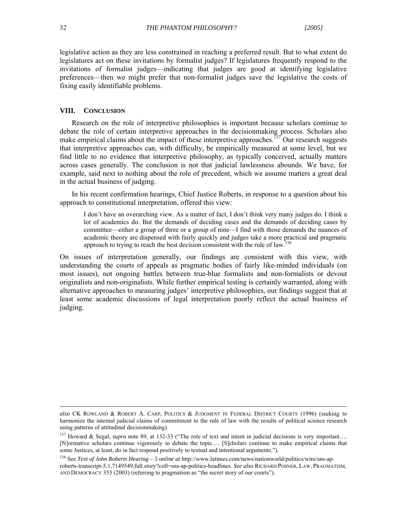legislative action as they are less constrained in reaching a preferred result. But to what extent do legislatures act on these invitations by formalist judges? If legislatures frequently respond to the invitations of formalist judges—indicating that judges are good at identifying legislative preferences—then we might prefer that non-formalist judges save the legislative the costs of fixing easily identifiable problems.

#### **VIII. CONCLUSION**

Research on the role of interpretive philosophies is important because scholars continue to debate the role of certain interpretive approaches in the decisionmaking process. Scholars also make empirical claims about the impact of these interpretive approaches.<sup> $57$ </sup> Our research suggests that interpretive approaches can, with difficulty, be empirically measured at some level, but we find little to no evidence that interpretive philosophy, as typically conceived, actually matters across cases generally. The conclusion is not that judicial lawlessness abounds. We have, for example, said next to nothing about the role of precedent, which we assume matters a great deal in the actual business of judging.

In his recent confirmation hearings, Chief Justice Roberts, in response to a question about his approach to constitutional interpretation, offered this view:

I don't have an overarching view. As a matter of fact, I don't think very many judges do. I think a lot of academics do. But the demands of deciding cases and the demands of deciding cases by committee—either a group of three or a group of nine—I find with those demands the nuances of academic theory are dispensed with fairly quickly and judges take a more practical and pragmatic approach to trying to reach the best decision consistent with the rule of law.<sup>138</sup>

On issues of interpretation generally, our findings are consistent with this view, with understanding the courts of appeals as pragmatic bodies of fairly like-minded individuals (on most issues), not ongoing battles between true-blue formalists and non-formalists or devout originalists and non-originalists. While further empirical testing is certainly warranted, along with alternative approaches to measuring judges' interpretive philosophies, our findings suggest that at least some academic discussions of legal interpretation poorly reflect the actual business of judging.

*also* CK ROWLAND & ROBERT A. CARP, POLITICS & JUDGMENT IN FEDERAL DISTRICT COURTS (1996) (seeking to harmonize the internal judicial claims of commitment to the rule of law with the results of political science research using patterns of attitudinal decisionmaking).

<sup>&</sup>lt;sup>137</sup> Howard & Segal, *supra* note 89, at 132-33 ("The role of text and intent in judicial decisions is very important... [N]ormative scholars continue vigorously to debate the topic…. [S]cholars continue to make empirical claims that some Justices, at least, do in fact respond positively to textual and intentional arguments.").

<sup>138</sup> See *Text of John Roberts Hearing – 5 online at* http://www.latimes.com/news/nationworld/politics/wire/sns-aproberts-transcript-5,1,7149549,full.story?coll=sns-ap-politics-headlines. *See also* RICHARD POSNER, LAW, PRAGMATISM, AND DEMOCRACY 355 (2003) (referring to pragmatism as "the secret story of our courts").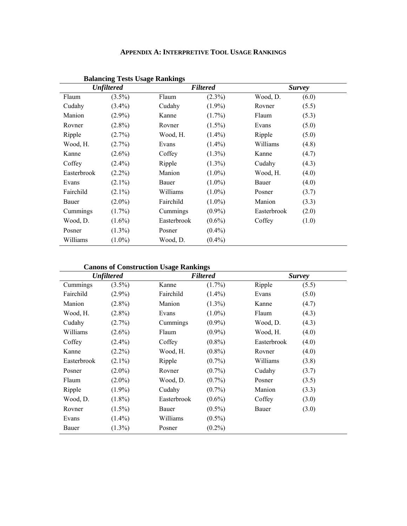| <b>APPENDIX A: INTERPRETIVE TOOL USAGE RANKINGS</b> |
|-----------------------------------------------------|
|-----------------------------------------------------|

|             | Dalancing Tests Osage Kalikungs<br><b>Unfiltered</b> |             | <b>Filtered</b> | <b>Survey</b> |       |  |
|-------------|------------------------------------------------------|-------------|-----------------|---------------|-------|--|
| Flaum       | $(3.5\%)$                                            | Flaum       | $(2.3\%)$       | Wood, D.      | (6.0) |  |
| Cudahy      | $(3.4\%)$                                            | Cudahy      | $(1.9\%)$       | Rovner        | (5.5) |  |
| Manion      | $(2.9\%)$                                            | Kanne       | $(1.7\%)$       | Flaum         | (5.3) |  |
| Rovner      | $(2.8\%)$                                            | Rovner      | $(1.5\%)$       | Evans         | (5.0) |  |
| Ripple      | $(2.7\%)$                                            | Wood, H.    | $(1.4\%)$       | Ripple        | (5.0) |  |
| Wood, H.    | $(2.7\%)$                                            | Evans       | $(1.4\%)$       | Williams      | (4.8) |  |
| Kanne       | $(2.6\%)$                                            | Coffey      | $(1.3\%)$       | Kanne         | (4.7) |  |
| Coffey      | $(2.4\%)$                                            | Ripple      | $(1.3\%)$       | Cudahy        | (4.3) |  |
| Easterbrook | $(2.2\%)$                                            | Manion      | $(1.0\%)$       | Wood, H.      | (4.0) |  |
| Evans       | $(2.1\%)$                                            | Bauer       | $(1.0\%)$       | Bauer         | (4.0) |  |
| Fairchild   | $(2.1\%)$                                            | Williams    | $(1.0\%)$       | Posner        | (3.7) |  |
| Bauer       | $(2.0\%)$                                            | Fairchild   | $(1.0\%)$       | Manion        | (3.3) |  |
| Cummings    | $(1.7\%)$                                            | Cummings    | $(0.9\%)$       | Easterbrook   | (2.0) |  |
| Wood, D.    | $(1.6\%)$                                            | Easterbrook | $(0.6\%)$       | Coffey        | (1.0) |  |
| Posner      | $(1.3\%)$                                            | Posner      | $(0.4\%)$       |               |       |  |
| Williams    | $(1.0\%)$                                            | Wood, D.    | $(0.4\%)$       |               |       |  |

## **Balancing Tests Usage Rankings**

**Canons of Construction Usage Rankings** 

| Canons of Construction Usage Rankings |                   |             |                 |             |               |  |  |
|---------------------------------------|-------------------|-------------|-----------------|-------------|---------------|--|--|
|                                       | <b>Unfiltered</b> |             | <b>Filtered</b> |             | <b>Survey</b> |  |  |
| Cummings                              | $(3.5\%)$         | Kanne       | $(1.7\%)$       | Ripple      | (5.5)         |  |  |
| Fairchild                             | $(2.9\%)$         | Fairchild   | $(1.4\%)$       | Evans       | (5.0)         |  |  |
| Manion                                | $(2.8\%)$         | Manion      | $(1.3\%)$       | Kanne       | (4.7)         |  |  |
| Wood, H.                              | $(2.8\%)$         | Evans       | $(1.0\%)$       | Flaum       | (4.3)         |  |  |
| Cudahy                                | $(2.7\%)$         | Cummings    | $(0.9\%)$       | Wood, D.    | (4.3)         |  |  |
| Williams                              | $(2.6\%)$         | Flaum       | $(0.9\%)$       | Wood, H.    | (4.0)         |  |  |
| Coffey                                | $(2.4\%)$         | Coffey      | $(0.8\%)$       | Easterbrook | (4.0)         |  |  |
| Kanne                                 | $(2.2\%)$         | Wood, H.    | $(0.8\%)$       | Rovner      | (4.0)         |  |  |
| Easterbrook                           | $(2.1\%)$         | Ripple      | $(0.7\%)$       | Williams    | (3.8)         |  |  |
| Posner                                | $(2.0\%)$         | Rovner      | $(0.7\%)$       | Cudahy      | (3.7)         |  |  |
| Flaum                                 | $(2.0\%)$         | Wood, D.    | $(0.7\%)$       | Posner      | (3.5)         |  |  |
| Ripple                                | $(1.9\%)$         | Cudahy      | $(0.7\%)$       | Manion      | (3.3)         |  |  |
| Wood, D.                              | $(1.8\%)$         | Easterbrook | $(0.6\%)$       | Coffey      | (3.0)         |  |  |
| Rovner                                | $(1.5\%)$         | Bauer       | $(0.5\%)$       | Bauer       | (3.0)         |  |  |
| Evans                                 | $(1.4\%)$         | Williams    | $(0.5\%)$       |             |               |  |  |
| Bauer                                 | $(1.3\%)$         | Posner      | $(0.2\%)$       |             |               |  |  |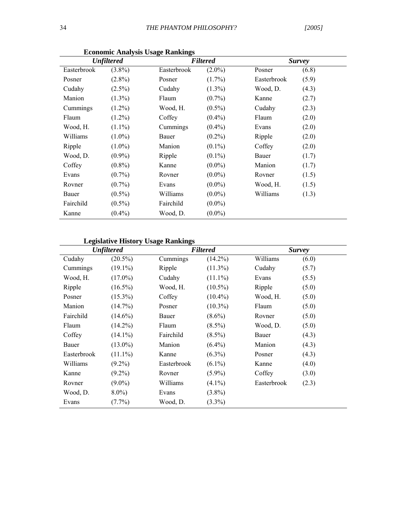|             | <b>Unfiltered</b> |             | <b>Filtered</b> | <b>Survey</b> |       |  |
|-------------|-------------------|-------------|-----------------|---------------|-------|--|
| Easterbrook | $(3.8\%)$         | Easterbrook | $(2.0\%)$       | Posner        | (6.8) |  |
| Posner      | $(2.8\%)$         | Posner      | $(1.7\%)$       | Easterbrook   | (5.9) |  |
| Cudahy      | $(2.5\%)$         | Cudahy      | $(1.3\%)$       | Wood, D.      | (4.3) |  |
| Manion      | $(1.3\%)$         | Flaum       | $(0.7\%)$       | Kanne         | (2.7) |  |
| Cummings    | $(1.2\%)$         | Wood, H.    | $(0.5\%)$       | Cudahy        | (2.3) |  |
| Flaum       | $(1.2\%)$         | Coffey      | $(0.4\%)$       | Flaum         | (2.0) |  |
| Wood, H.    | $(1.1\%)$         | Cummings    | $(0.4\%)$       | Evans         | (2.0) |  |
| Williams    | $(1.0\%)$         | Bauer       | $(0.2\%)$       | Ripple        | (2.0) |  |
| Ripple      | $(1.0\%)$         | Manion      | $(0.1\%)$       | Coffey        | (2.0) |  |
| Wood, D.    | $(0.9\%)$         | Ripple      | $(0.1\%)$       | Bauer         | (1.7) |  |
| Coffey      | $(0.8\%)$         | Kanne       | $(0.0\%)$       | Manion        | (1.7) |  |
| Evans       | $(0.7\%)$         | Rovner      | $(0.0\%)$       | Rovner        | (1.5) |  |
| Rovner      | $(0.7\%)$         | Evans       | $(0.0\%)$       | Wood, H.      | (1.5) |  |
| Bauer       | $(0.5\%)$         | Williams    | $(0.0\%)$       | Williams      | (1.3) |  |
| Fairchild   | $(0.5\%)$         | Fairchild   | $(0.0\%)$       |               |       |  |
| Kanne       | $(0.4\%)$         | Wood, D.    | $(0.0\%)$       |               |       |  |

**Economic Analysis Usage Rankings** 

# **Legislative History Usage Rankings**

| педвинуе низкогу сваде кинкиндэ | <b>Unfiltered</b> |             | <b>Filtered</b> |             | <b>Survey</b> |  |  |
|---------------------------------|-------------------|-------------|-----------------|-------------|---------------|--|--|
| Cudahy                          | $(20.5\%)$        | Cummings    | $(14.2\%)$      | Williams    | (6.0)         |  |  |
| Cummings                        | $(19.1\%)$        | Ripple      | $(11.3\%)$      | Cudahy      | (5.7)         |  |  |
| Wood, H.                        | $(17.0\%)$        | Cudahy      | $(11.1\%)$      | Evans       | (5.5)         |  |  |
| Ripple                          | $(16.5\%)$        | Wood, H.    | $(10.5\%)$      | Ripple      | (5.0)         |  |  |
| Posner                          | $(15.3\%)$        | Coffey      | $(10.4\%)$      | Wood, H.    | (5.0)         |  |  |
| Manion                          | $(14.7\%)$        | Posner      | $(10.3\%)$      | Flaum       | (5.0)         |  |  |
| Fairchild                       | $(14.6\%)$        | Bauer       | $(8.6\%)$       | Rovner      | (5.0)         |  |  |
| Flaum                           | $(14.2\%)$        | Flaum       | $(8.5\%)$       | Wood, D.    | (5.0)         |  |  |
| Coffey                          | $(14.1\%)$        | Fairchild   | $(8.5\%)$       | Bauer       | (4.3)         |  |  |
| Bauer                           | $(13.0\%)$        | Manion      | $(6.4\%)$       | Manion      | (4.3)         |  |  |
| Easterbrook                     | $(11.1\%)$        | Kanne       | $(6.3\%)$       | Posner      | (4.3)         |  |  |
| Williams                        | $(9.2\%)$         | Easterbrook | $(6.1\%)$       | Kanne       | (4.0)         |  |  |
| Kanne                           | $(9.2\%)$         | Rovner      | $(5.9\%)$       | Coffey      | (3.0)         |  |  |
| Rovner                          | $(9.0\%)$         | Williams    | $(4.1\%)$       | Easterbrook | (2.3)         |  |  |
| Wood, D.                        | $8.0\%$           | Evans       | $(3.8\%)$       |             |               |  |  |
| Evans                           | $(7.7\%)$         | Wood, D.    | $(3.3\%)$       |             |               |  |  |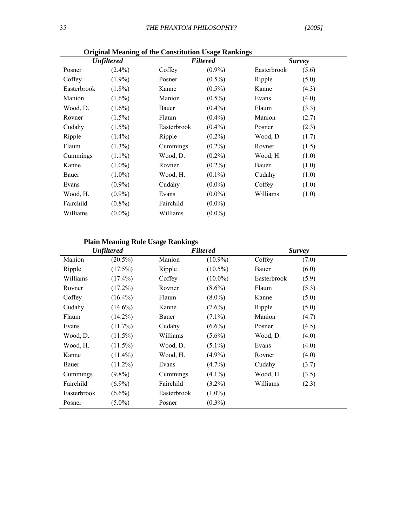| $\mathbf{r}$<br><b>Unfiltered</b> |           |             | $\sim$<br><b>Filtered</b> | <b>Survey</b> |       |  |
|-----------------------------------|-----------|-------------|---------------------------|---------------|-------|--|
| Posner                            | $(2.4\%)$ | Coffey      | $(0.9\%)$                 | Easterbrook   | (5.6) |  |
| Coffey                            | $(1.9\%)$ | Posner      | $(0.5\%)$                 | Ripple        | (5.0) |  |
| Easterbrook                       | $(1.8\%)$ | Kanne       | $(0.5\%)$                 | Kanne         | (4.3) |  |
| Manion                            | $(1.6\%)$ | Manion      | $(0.5\%)$                 | Evans         | (4.0) |  |
| Wood, D.                          | $(1.6\%)$ | Bauer       | $(0.4\%)$                 | Flaum         | (3.3) |  |
| Rovner                            | $(1.5\%)$ | Flaum       | $(0.4\%)$                 | Manion        | (2.7) |  |
| Cudahy                            | $(1.5\%)$ | Easterbrook | $(0.4\%)$                 | Posner        | (2.3) |  |
| Ripple                            | $(1.4\%)$ | Ripple      | $(0.2\%)$                 | Wood, D.      | (1.7) |  |
| Flaum                             | $(1.3\%)$ | Cummings    | $(0.2\%)$                 | Rovner        | (1.5) |  |
| Cummings                          | $(1.1\%)$ | Wood, D.    | $(0.2\%)$                 | Wood, H.      | (1.0) |  |
| Kanne                             | $(1.0\%)$ | Rovner      | $(0.2\%)$                 | Bauer         | (1.0) |  |
| Bauer                             | $(1.0\%)$ | Wood, H.    | $(0.1\%)$                 | Cudahy        | (1.0) |  |
| Evans                             | $(0.9\%)$ | Cudahy      | $(0.0\%)$                 | Coffey        | (1.0) |  |
| Wood, H.                          | $(0.9\%)$ | Evans       | $(0.0\%)$                 | Williams      | (1.0) |  |
| Fairchild                         | $(0.8\%)$ | Fairchild   | $(0.0\%)$                 |               |       |  |
| Williams                          | $(0.0\%)$ | Williams    | $(0.0\%)$                 |               |       |  |

**Original Meaning of the Constitution Usage Rankings** 

# **Plain Meaning Rule Usage Rankings**

|             |                   | Piain Meaning Ruie Usage Rankings |                 |             |               |  |
|-------------|-------------------|-----------------------------------|-----------------|-------------|---------------|--|
|             | <b>Unfiltered</b> |                                   | <b>Filtered</b> |             | <b>Survey</b> |  |
| Manion      | $(20.5\%)$        | Manion                            | $(10.9\%)$      | Coffey      | (7.0)         |  |
| Ripple      | $(17.5\%)$        | Ripple                            | $(10.5\%)$      | Bauer       | (6.0)         |  |
| Williams    | $(17.4\%)$        | Coffey                            | $(10.0\%)$      | Easterbrook | (5.9)         |  |
| Rovner      | $(17.2\%)$        | Rovner                            | $(8.6\%)$       | Flaum       | (5.3)         |  |
| Coffey      | $(16.4\%)$        | Flaum                             | $(8.0\%)$       | Kanne       | (5.0)         |  |
| Cudahy      | $(14.6\%)$        | Kanne                             | $(7.6\%)$       | Ripple      | (5.0)         |  |
| Flaum       | $(14.2\%)$        | Bauer                             | $(7.1\%)$       | Manion      | (4.7)         |  |
| Evans       | $(11.7\%)$        | Cudahy                            | $(6.6\%)$       | Posner      | (4.5)         |  |
| Wood, D.    | $(11.5\%)$        | Williams                          | $(5.6\%)$       | Wood, D.    | (4.0)         |  |
| Wood, H.    | $(11.5\%)$        | Wood, D.                          | $(5.1\%)$       | Evans       | (4.0)         |  |
| Kanne       | $(11.4\%)$        | Wood, H.                          | $(4.9\%)$       | Rovner      | (4.0)         |  |
| Bauer       | $(11.2\%)$        | Evans                             | $(4.7\%)$       | Cudahy      | (3.7)         |  |
| Cummings    | $(9.8\%)$         | Cummings                          | $(4.1\%)$       | Wood, H.    | (3.5)         |  |
| Fairchild   | $(6.9\%)$         | Fairchild                         | $(3.2\%)$       | Williams    | (2.3)         |  |
| Easterbrook | $(6.6\%)$         | Easterbrook                       | $(1.0\%)$       |             |               |  |
| Posner      | $(5.0\%)$         | Posner                            | $(0.3\%)$       |             |               |  |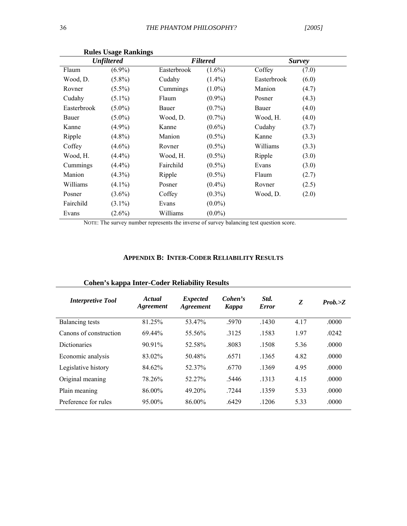|             | $\sim$<br><b>Unfiltered</b> |             | <b>Filtered</b> |             | <b>Survey</b> |
|-------------|-----------------------------|-------------|-----------------|-------------|---------------|
| Flaum       | $(6.9\%)$                   | Easterbrook | $(1.6\%)$       | Coffey      | (7.0)         |
| Wood, D.    | $(5.8\%)$                   | Cudahy      | $(1.4\%)$       | Easterbrook | (6.0)         |
| Rovner      | $(5.5\%)$                   | Cummings    | $(1.0\%)$       | Manion      | (4.7)         |
| Cudahy      | $(5.1\%)$                   | Flaum       | $(0.9\%)$       | Posner      | (4.3)         |
| Easterbrook | $(5.0\%)$                   | Bauer       | $(0.7\%)$       | Bauer       | (4.0)         |
| Bauer       | $(5.0\%)$                   | Wood, D.    | $(0.7\%)$       | Wood, H.    | (4.0)         |
| Kanne       | $(4.9\%)$                   | Kanne       | $(0.6\%)$       | Cudahy      | (3.7)         |
| Ripple      | $(4.8\%)$                   | Manion      | $(0.5\%)$       | Kanne       | (3.3)         |
| Coffey      | $(4.6\%)$                   | Rovner      | $(0.5\%)$       | Williams    | (3.3)         |
| Wood, H.    | $(4.4\%)$                   | Wood, H.    | $(0.5\%)$       | Ripple      | (3.0)         |
| Cummings    | $(4.4\%)$                   | Fairchild   | $(0.5\%)$       | Evans       | (3.0)         |
| Manion      | $(4.3\%)$                   | Ripple      | $(0.5\%)$       | Flaum       | (2.7)         |
| Williams    | $(4.1\%)$                   | Posner      | $(0.4\%)$       | Rovner      | (2.5)         |
| Posner      | $(3.6\%)$                   | Coffey      | $(0.3\%)$       | Wood, D.    | (2.0)         |
| Fairchild   | $(3.1\%)$                   | Evans       | $(0.0\%)$       |             |               |
| Evans       | $(2.6\%)$                   | Williams    | $(0.0\%)$       |             |               |

**Rules Usage Rankings** 

NOTE: The survey number represents the inverse of survey balancing test question score.

#### **APPENDIX B: INTER-CODER RELIABILITY RESULTS**

| <b>Interpretive Tool</b> | Actual<br>Agreement | <i>Expected</i><br>Agreement | Cohen's<br><b>Kappa</b> | Std.<br><b>Error</b> | Z    | Prob. >Z |
|--------------------------|---------------------|------------------------------|-------------------------|----------------------|------|----------|
| Balancing tests          | 81.25%              | 53.47%                       | .5970                   | .1430                | 4.17 | .0000    |
| Canons of construction   | 69.44%              | 55.56%                       | 3125                    | .1583                | 1.97 | .0242    |
| <b>Dictionaries</b>      | 90.91%              | 52.58%                       | .8083                   | .1508                | 5.36 | .0000    |
| Economic analysis        | 83 02%              | 50.48%                       | .6571                   | .1365                | 4.82 | .0000    |
| Legislative history      | 84.62%              | 52.37%                       | .6770                   | .1369                | 4.95 | .0000    |
| Original meaning         | 78.26%              | 52 27%                       | .5446                   | .1313                | 4.15 | .0000    |
| Plain meaning            | 86.00%              | 49.20%                       | .7244                   | .1359                | 5.33 | .0000    |
| Preference for rules     | 95.00%              | 86.00%                       | .6429                   | .1206                | 533  | .0000    |

# **Cohen's kappa Inter-Coder Reliability Results**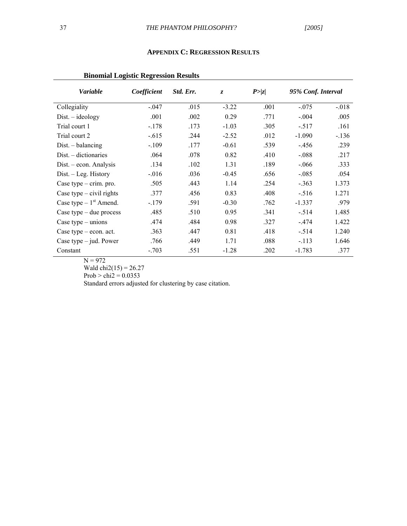#### **APPENDIX C: REGRESSION RESULTS**

# **Binomial Logistic Regression Results**

| <b>Variable</b>            | Coefficient | Std. Err. | $\overline{z}$ | P >  z | 95% Conf. Interval |          |
|----------------------------|-------------|-----------|----------------|--------|--------------------|----------|
| Collegiality               | $-.047$     | .015      | $-3.22$        | .001   | $-.075$            | $-0.018$ |
| $Dist. - ideology$         | .001        | .002      | 0.29           | .771   | $-.004$            | .005     |
| Trial court 1              | $-.178$     | .173      | $-1.03$        | .305   | $-.517$            | .161     |
| Trial court 2              | $-.615$     | .244      | $-2.52$        | .012   | $-1.090$           | $-136$   |
| $Dist. - balancing$        | $-.109$     | .177      | $-0.61$        | .539   | $-.456$            | .239     |
| $Dist. - dictionaries$     | .064        | .078      | 0.82           | .410   | $-.088$            | .217     |
| Dist. – econ. Analysis     | .134        | .102      | 1.31           | .189   | $-.066$            | .333     |
| $Dist. - Leg. History$     | $-0.016$    | .036      | $-0.45$        | .656   | $-.085$            | .054     |
| Case type $-$ crim. pro.   | .505        | .443      | 1.14           | .254   | $-.363$            | 1.373    |
| Case type $-$ civil rights | .377        | .456      | 0.83           | .408   | $-.516$            | 1.271    |
| Case type $-1st$ Amend.    | $-179$      | .591      | $-0.30$        | .762   | $-1.337$           | .979     |
| Case type $-$ due process  | .485        | .510      | 0.95           | .341   | $-.514$            | 1.485    |
| Case type $-$ unions       | .474        | .484      | 0.98           | .327   | $-474$             | 1.422    |
| Case type $-$ econ. act.   | .363        | .447      | 0.81           | .418   | $-.514$            | 1.240    |
| Case type $-$ jud. Power   | .766        | .449      | 1.71           | .088   | $-113$             | 1.646    |
| Constant                   | $-.703$     | .551      | $-1.28$        | .202   | $-1.783$           | .377     |

 $N = 972$ 

Wald  $chi2(15) = 26.27$ 

Prob > chi2 =  $0.0353$ 

Standard errors adjusted for clustering by case citation.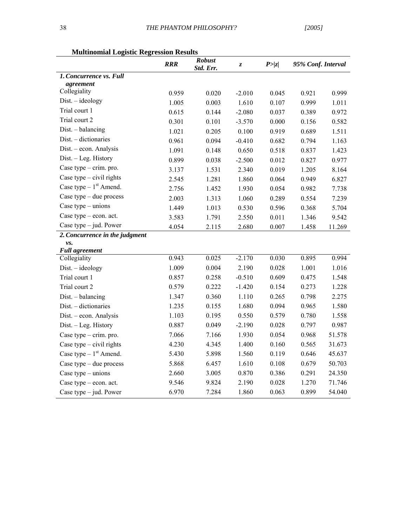| птинипонни по                       | <b>RRR</b> | <b>Robust</b><br>Std. Err. | Z,       | P >  z | 95% Conf. Interval |        |
|-------------------------------------|------------|----------------------------|----------|--------|--------------------|--------|
| 1. Concurrence vs. Full             |            |                            |          |        |                    |        |
| agreement                           |            |                            |          |        |                    |        |
| Collegiality                        | 0.959      | 0.020                      | $-2.010$ | 0.045  | 0.921              | 0.999  |
| $Dist. - ideology$                  | 1.005      | 0.003                      | 1.610    | 0.107  | 0.999              | 1.011  |
| Trial court 1                       | 0.615      | 0.144                      | $-2.080$ | 0.037  | 0.389              | 0.972  |
| Trial court 2                       | 0.301      | 0.101                      | $-3.570$ | 0.000  | 0.156              | 0.582  |
| Dist. - balancing                   | 1.021      | 0.205                      | 0.100    | 0.919  | 0.689              | 1.511  |
| Dist. - dictionaries                | 0.961      | 0.094                      | $-0.410$ | 0.682  | 0.794              | 1.163  |
| Dist. - econ. Analysis              | 1.091      | 0.148                      | 0.650    | 0.518  | 0.837              | 1.423  |
| Dist. - Leg. History                | 0.899      | 0.038                      | $-2.500$ | 0.012  | 0.827              | 0.977  |
| Case type - crim. pro.              | 3.137      | 1.531                      | 2.340    | 0.019  | 1.205              | 8.164  |
| Case type $-$ civil rights          | 2.545      | 1.281                      | 1.860    | 0.064  | 0.949              | 6.827  |
| Case type $-1st$ Amend.             | 2.756      | 1.452                      | 1.930    | 0.054  | 0.982              | 7.738  |
| Case type $-$ due process           | 2.003      | 1.313                      | 1.060    | 0.289  | 0.554              | 7.239  |
| Case type $-$ unions                | 1.449      | 1.013                      | 0.530    | 0.596  | 0.368              | 5.704  |
| Case type $-$ econ. act.            | 3.583      | 1.791                      | 2.550    | 0.011  | 1.346              | 9.542  |
| Case type $-$ jud. Power            | 4.054      | 2.115                      | 2.680    | 0.007  | 1.458              | 11.269 |
| 2. Concurrence in the judgment      |            |                            |          |        |                    |        |
| vs.<br><b>Full agreement</b>        |            |                            |          |        |                    |        |
| Collegiality                        | 0.943      | 0.025                      | $-2.170$ | 0.030  | 0.895              | 0.994  |
| $Dist. - ideology$                  | 1.009      | 0.004                      | 2.190    | 0.028  | 1.001              | 1.016  |
| Trial court 1                       | 0.857      | 0.258                      | $-0.510$ | 0.609  | 0.475              | 1.548  |
| Trial court 2                       | 0.579      | 0.222                      | $-1.420$ | 0.154  | 0.273              | 1.228  |
| Dist. - balancing                   | 1.347      | 0.360                      | 1.110    | 0.265  | 0.798              | 2.275  |
| Dist. - dictionaries                | 1.235      | 0.155                      | 1.680    | 0.094  | 0.965              | 1.580  |
| Dist. - econ. Analysis              | 1.103      | 0.195                      | 0.550    | 0.579  | 0.780              | 1.558  |
| Dist. - Leg. History                | 0.887      | 0.049                      | $-2.190$ | 0.028  | 0.797              | 0.987  |
| Case type - crim. pro.              | 7.066      | 7.166                      | 1.930    | 0.054  | 0.968              | 51.578 |
| Case type $-$ civil rights          | 4.230      | 4.345                      | 1.400    | 0.160  | 0.565              | 31.673 |
| Case type $-1$ <sup>st</sup> Amend. | 5.430      | 5.898                      | 1.560    | 0.119  | 0.646              | 45.637 |
| Case type - due process             | 5.868      | 6.457                      | 1.610    | 0.108  | 0.679              | 50.703 |
| Case type $-$ unions                | 2.660      | 3.005                      | 0.870    | 0.386  | 0.291              | 24.350 |
| Case type $-$ econ. act.            | 9.546      | 9.824                      | 2.190    | 0.028  | 1.270              | 71.746 |
| Case type $-$ jud. Power            | 6.970      | 7.284                      | 1.860    | 0.063  | 0.899              | 54.040 |

**Multinomial Logistic Regression Results**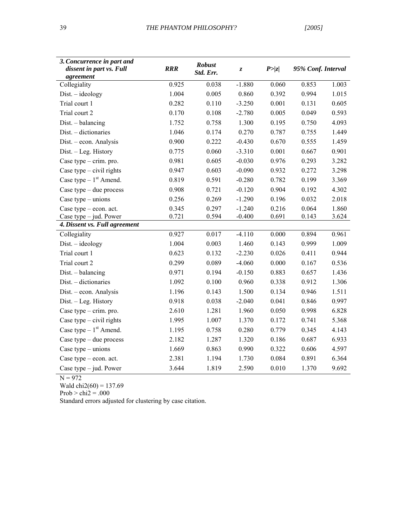| 3. Concurrence in part and<br>dissent in part vs. Full<br>agreement | <b>RRR</b> | <b>Robust</b><br>Std. Err. | Z,       | P >  z | 95% Conf. Interval |       |
|---------------------------------------------------------------------|------------|----------------------------|----------|--------|--------------------|-------|
| Collegiality                                                        | 0.925      | 0.038                      | $-1.880$ | 0.060  | 0.853              | 1.003 |
| $Dist. - ideology$                                                  | 1.004      | 0.005                      | 0.860    | 0.392  | 0.994              | 1.015 |
| Trial court 1                                                       | 0.282      | 0.110                      | $-3.250$ | 0.001  | 0.131              | 0.605 |
| Trial court 2                                                       | 0.170      | 0.108                      | $-2.780$ | 0.005  | 0.049              | 0.593 |
| Dist. - balancing                                                   | 1.752      | 0.758                      | 1.300    | 0.195  | 0.750              | 4.093 |
| Dist. - dictionaries                                                | 1.046      | 0.174                      | 0.270    | 0.787  | 0.755              | 1.449 |
| Dist. - econ. Analysis                                              | 0.900      | 0.222                      | $-0.430$ | 0.670  | 0.555              | 1.459 |
| Dist. - Leg. History                                                | 0.775      | 0.060                      | $-3.310$ | 0.001  | 0.667              | 0.901 |
| Case type - crim. pro.                                              | 0.981      | 0.605                      | $-0.030$ | 0.976  | 0.293              | 3.282 |
| Case type $-$ civil rights                                          | 0.947      | 0.603                      | $-0.090$ | 0.932  | 0.272              | 3.298 |
| Case type $-1st$ Amend.                                             | 0.819      | 0.591                      | $-0.280$ | 0.782  | 0.199              | 3.369 |
| Case type $-$ due process                                           | 0.908      | 0.721                      | $-0.120$ | 0.904  | 0.192              | 4.302 |
| Case type $-$ unions                                                | 0.256      | 0.269                      | $-1.290$ | 0.196  | 0.032              | 2.018 |
| Case type $-$ econ. act.                                            | 0.345      | 0.297                      | $-1.240$ | 0.216  | 0.064              | 1.860 |
| Case type $-$ jud. Power                                            | 0.721      | 0.594                      | $-0.400$ | 0.691  | 0.143              | 3.624 |
| 4. Dissent vs. Full agreement                                       |            |                            |          |        |                    |       |
| Collegiality                                                        | 0.927      | 0.017                      | $-4.110$ | 0.000  | 0.894              | 0.961 |
| $Dist. - ideology$                                                  | 1.004      | 0.003                      | 1.460    | 0.143  | 0.999              | 1.009 |
| Trial court 1                                                       | 0.623      | 0.132                      | $-2.230$ | 0.026  | 0.411              | 0.944 |
| Trial court 2                                                       | 0.299      | 0.089                      | $-4.060$ | 0.000  | 0.167              | 0.536 |
| Dist. - balancing                                                   | 0.971      | 0.194                      | $-0.150$ | 0.883  | 0.657              | 1.436 |
| Dist. - dictionaries                                                | 1.092      | 0.100                      | 0.960    | 0.338  | 0.912              | 1.306 |
| Dist. - econ. Analysis                                              | 1.196      | 0.143                      | 1.500    | 0.134  | 0.946              | 1.511 |
| Dist. - Leg. History                                                | 0.918      | 0.038                      | $-2.040$ | 0.041  | 0.846              | 0.997 |
| Case type $-$ crim. pro.                                            | 2.610      | 1.281                      | 1.960    | 0.050  | 0.998              | 6.828 |
| Case type - civil rights                                            | 1.995      | 1.007                      | 1.370    | 0.172  | 0.741              | 5.368 |
| Case type $-1st$ Amend.                                             | 1.195      | 0.758                      | 0.280    | 0.779  | 0.345              | 4.143 |
| Case type $-$ due process                                           | 2.182      | 1.287                      | 1.320    | 0.186  | 0.687              | 6.933 |
| Case type $-$ unions                                                | 1.669      | 0.863                      | 0.990    | 0.322  | 0.606              | 4.597 |
| Case type $-$ econ. act.                                            | 2.381      | 1.194                      | 1.730    | 0.084  | 0.891              | 6.364 |
| Case type $-$ jud. Power                                            | 3.644      | 1.819                      | 2.590    | 0.010  | 1.370              | 9.692 |

 $N = 972$ 

Wald  $\text{chi2}(60) = 137.69$ 

 $Prob > chi2 = .000$ 

Standard errors adjusted for clustering by case citation.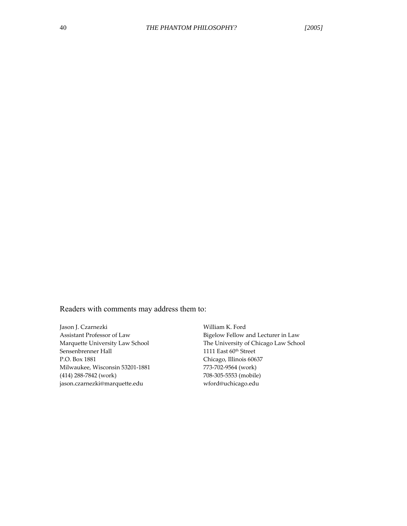Readers with comments may address them to:

Jason J. Czarnezki William K. Ford Sensenbrenner Hall 1111 East 60<sup>th</sup> Street<br>P.O. Box 1881 Chicago, Illinois 606 Milwaukee, Wisconsin 53201-1881 773-702-9564 (work) (414) 288-7842 (work) 708-305-5553 (mobile) 708-305-5553 (mobile) 708-305-5553 (mobile) jason.czarnezki@marquette.edu

Assistant Professor of Law Bigelow Fellow and Lecturer in Law Marquette University Law School The University of Chicago Law School Sensenbrenner Hall  $1111$  East  $60^{\text{th}}$  Street Chicago, Illinois 60637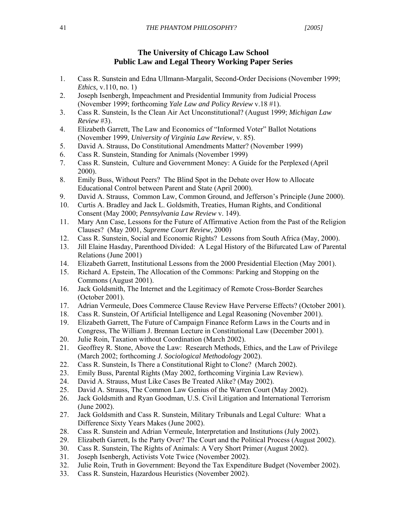## **The University of Chicago Law School Public Law and Legal Theory Working Paper Series**

- 1. Cass R. Sunstein and Edna Ullmann-Margalit, Second-Order Decisions (November 1999; *Ethics,* v.110, no. 1)
- 2. Joseph Isenbergh, Impeachment and Presidential Immunity from Judicial Process (November 1999; forthcoming *Yale Law and Policy Review* v.18 #1).
- 3. Cass R. Sunstein, Is the Clean Air Act Unconstitutional? (August 1999; *Michigan Law Review* #3).
- 4. Elizabeth Garrett, The Law and Economics of "Informed Voter" Ballot Notations (November 1999, *University of Virginia Law Review*, v. 85).
- 5. David A. Strauss, Do Constitutional Amendments Matter? (November 1999)
- 6. Cass R. Sunstein, Standing for Animals (November 1999)
- 7. Cass R. Sunstein, Culture and Government Money: A Guide for the Perplexed (April 2000).
- 8. Emily Buss, Without Peers? The Blind Spot in the Debate over How to Allocate Educational Control between Parent and State (April 2000).
- 9. David A. Strauss, Common Law, Common Ground, and Jefferson's Principle (June 2000).
- 10. Curtis A. Bradley and Jack L. Goldsmith, Treaties, Human Rights, and Conditional Consent (May 2000; *Pennsylvania Law Review* v. 149).
- 11. Mary Ann Case, Lessons for the Future of Affirmative Action from the Past of the Religion Clauses? (May 2001, *Supreme Court Review*, 2000)
- 12. Cass R. Sunstein, Social and Economic Rights? Lessons from South Africa (May, 2000).
- 13. Jill Elaine Hasday, Parenthood Divided: A Legal History of the Bifurcated Law of Parental Relations (June 2001)
- 14. Elizabeth Garrett, Institutional Lessons from the 2000 Presidential Election (May 2001).
- 15. Richard A. Epstein, The Allocation of the Commons: Parking and Stopping on the Commons (August 2001).
- 16. Jack Goldsmith, The Internet and the Legitimacy of Remote Cross-Border Searches (October 2001).
- 17. Adrian Vermeule, Does Commerce Clause Review Have Perverse Effects? (October 2001).
- 18. Cass R. Sunstein, Of Artificial Intelligence and Legal Reasoning (November 2001).
- 19. Elizabeth Garrett, The Future of Campaign Finance Reform Laws in the Courts and in Congress, The William J. Brennan Lecture in Constitutional Law (December 2001).
- 20. Julie Roin, Taxation without Coordination (March 2002).
- 21. Geoffrey R. Stone, Above the Law: Research Methods, Ethics, and the Law of Privilege (March 2002; forthcoming *J. Sociological Methodology* 2002).
- 22. Cass R. Sunstein, Is There a Constitutional Right to Clone? (March 2002).
- 23. Emily Buss, Parental Rights (May 2002, forthcoming Virginia Law Review).
- 24. David A. Strauss, Must Like Cases Be Treated Alike? (May 2002).
- 25. David A. Strauss, The Common Law Genius of the Warren Court (May 2002).
- 26. Jack Goldsmith and Ryan Goodman, U.S. Civil Litigation and International Terrorism (June 2002).
- 27. Jack Goldsmith and Cass R. Sunstein, Military Tribunals and Legal Culture: What a Difference Sixty Years Makes (June 2002).
- 28. Cass R. Sunstein and Adrian Vermeule, Interpretation and Institutions (July 2002).
- 29. Elizabeth Garrett, Is the Party Over? The Court and the Political Process (August 2002).
- 30. Cass R. Sunstein, The Rights of Animals: A Very Short Primer (August 2002).
- 31. Joseph Isenbergh, Activists Vote Twice (November 2002).
- 32. Julie Roin, Truth in Government: Beyond the Tax Expenditure Budget (November 2002).
- 33. Cass R. Sunstein, Hazardous Heuristics (November 2002).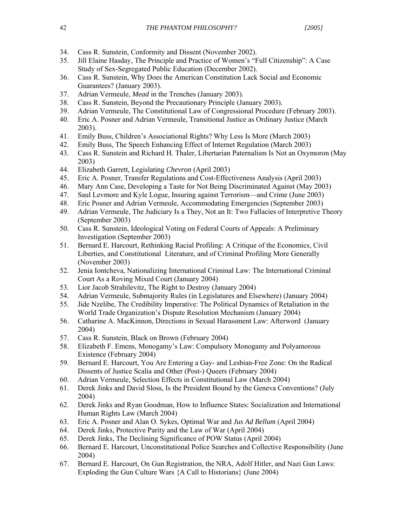- 34. Cass R. Sunstein, Conformity and Dissent (November 2002).
- 35. Jill Elaine Hasday, The Principle and Practice of Women's "Full Citizenship": A Case Study of Sex-Segregated Public Education (December 2002).
- 36. Cass R. Sunstein, Why Does the American Constitution Lack Social and Economic Guarantees? (January 2003).
- 37. Adrian Vermeule, *Mead* in the Trenches (January 2003).
- 38. Cass R. Sunstein, Beyond the Precautionary Principle (January 2003).
- 39. Adrian Vermeule, The Constitutional Law of Congressional Procedure (February 2003).
- 40. Eric A. Posner and Adrian Vermeule, Transitional Justice as Ordinary Justice (March 2003).
- 41. Emily Buss, Children's Associational Rights? Why Less Is More (March 2003)
- 42. Emily Buss, The Speech Enhancing Effect of Internet Regulation (March 2003)
- 43. Cass R. Sunstein and Richard H. Thaler, Libertarian Paternalism Is Not an Oxymoron (May 2003)
- 44. Elizabeth Garrett, Legislating *Chevron* (April 2003)
- 45. Eric A. Posner, Transfer Regulations and Cost-Effectiveness Analysis (April 2003)
- 46. Mary Ann Case, Developing a Taste for Not Being Discriminated Against (May 2003)
- 47. Saul Levmore and Kyle Logue, Insuring against Terrorism—and Crime (June 2003)
- 48. Eric Posner and Adrian Vermeule, Accommodating Emergencies (September 2003)
- 49. Adrian Vermeule, The Judiciary Is a They, Not an It: Two Fallacies of Interpretive Theory (September 2003)
- 50. Cass R. Sunstein, Ideological Voting on Federal Courts of Appeals: A Preliminary Investigation (September 2003)
- 51. Bernard E. Harcourt, Rethinking Racial Profiling: A Critique of the Economics, Civil Liberties, and Constitutional Literature, and of Criminal Profiling More Generally (November 2003)
- 52. Jenia Iontcheva, Nationalizing International Criminal Law: The International Criminal Court As a Roving Mixed Court (January 2004)
- 53. Lior Jacob Strahilevitz, The Right to Destroy (January 2004)
- 54. Adrian Vermeule, Submajority Rules (in Legislatures and Elsewhere) (January 2004)
- 55. Jide Nzelibe, The Credibility Imperative: The Political Dynamics of Retaliation in the World Trade Organization's Dispute Resolution Mechanism (January 2004)
- 56. Catharine A. MacKinnon, Directions in Sexual Harassment Law: Afterword (January 2004)
- 57. Cass R. Sunstein, Black on Brown (February 2004)
- 58. Elizabeth F. Emens, Monogamy's Law: Compulsory Monogamy and Polyamorous Existence (February 2004)
- 59. Bernard E. Harcourt, You Are Entering a Gay- and Lesbian-Free Zone: On the Radical Dissents of Justice Scalia and Other (Post-) Queers (February 2004)
- 60. Adrian Vermeule, Selection Effects in Constitutional Law (March 2004)
- 61. Derek Jinks and David Sloss, Is the President Bound by the Geneva Conventions? (July 2004)
- 62. Derek Jinks and Ryan Goodman, How to Influence States: Socialization and International Human Rights Law (March 2004)
- 63. Eric A. Posner and Alan O. Sykes, Optimal War and *Jus Ad Bellum* (April 2004)
- 64. Derek Jinks, Protective Parity and the Law of War (April 2004)
- 65. Derek Jinks, The Declining Significance of POW Status (April 2004)
- 66. Bernard E. Harcourt, Unconstitutional Police Searches and Collective Responsibility (June 2004)
- 67. Bernard E. Harcourt, On Gun Registration, the NRA, Adolf Hitler, and Nazi Gun Laws: Exploding the Gun Culture Wars {A Call to Historians} (June 2004)